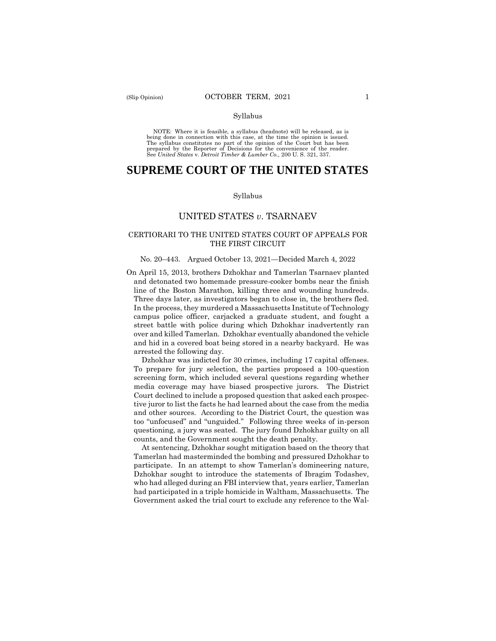NOTE: Where it is feasible, a syllabus (headnote) will be released, as is being done in connection with this case, at the time the opinion is issued. The syllabus constitutes no part of the opinion of the Court but has been prepared by the Reporter of Decisions for the convenience of the reader. See *United States* v. *Detroit Timber & Lumber Co.,* 200 U. S. 321, 337.

# **SUPREME COURT OF THE UNITED STATES**

#### Syllabus

### UNITED STATES *v*. TSARNAEV

### CERTIORARI TO THE UNITED STATES COURT OF APPEALS FOR THE FIRST CIRCUIT

#### No. 20–443. Argued October 13, 2021—Decided March 4, 2022

On April 15, 2013, brothers Dzhokhar and Tamerlan Tsarnaev planted and detonated two homemade pressure-cooker bombs near the finish line of the Boston Marathon, killing three and wounding hundreds. Three days later, as investigators began to close in, the brothers fled. In the process, they murdered a Massachusetts Institute of Technology campus police officer, carjacked a graduate student, and fought a street battle with police during which Dzhokhar inadvertently ran over and killed Tamerlan. Dzhokhar eventually abandoned the vehicle and hid in a covered boat being stored in a nearby backyard. He was arrested the following day.

Dzhokhar was indicted for 30 crimes, including 17 capital offenses. To prepare for jury selection, the parties proposed a 100-question screening form, which included several questions regarding whether media coverage may have biased prospective jurors. The District Court declined to include a proposed question that asked each prospective juror to list the facts he had learned about the case from the media and other sources. According to the District Court, the question was too "unfocused" and "unguided." Following three weeks of in-person questioning, a jury was seated. The jury found Dzhokhar guilty on all counts, and the Government sought the death penalty.

At sentencing, Dzhokhar sought mitigation based on the theory that Tamerlan had masterminded the bombing and pressured Dzhokhar to participate. In an attempt to show Tamerlan's domineering nature, Dzhokhar sought to introduce the statements of Ibragim Todashev, who had alleged during an FBI interview that, years earlier, Tamerlan had participated in a triple homicide in Waltham, Massachusetts. The Government asked the trial court to exclude any reference to the Wal-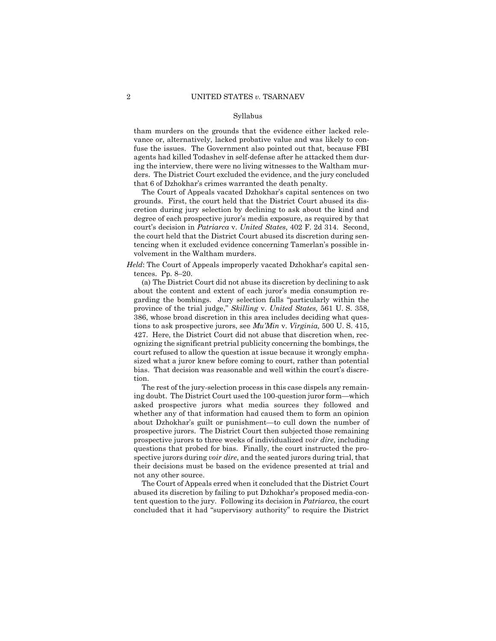tham murders on the grounds that the evidence either lacked relevance or, alternatively, lacked probative value and was likely to confuse the issues. The Government also pointed out that, because FBI agents had killed Todashev in self-defense after he attacked them during the interview, there were no living witnesses to the Waltham murders. The District Court excluded the evidence, and the jury concluded that 6 of Dzhokhar's crimes warranted the death penalty.

The Court of Appeals vacated Dzhokhar's capital sentences on two grounds. First, the court held that the District Court abused its discretion during jury selection by declining to ask about the kind and degree of each prospective juror's media exposure, as required by that court's decision in *Patriarca* v. *United States*, 402 F. 2d 314. Second, the court held that the District Court abused its discretion during sentencing when it excluded evidence concerning Tamerlan's possible involvement in the Waltham murders.

*Held*: The Court of Appeals improperly vacated Dzhokhar's capital sentences. Pp. 8–20.

(a) The District Court did not abuse its discretion by declining to ask about the content and extent of each juror's media consumption regarding the bombings. Jury selection falls "particularly within the province of the trial judge," *Skilling* v. *United States,* 561 U. S. 358, 386, whose broad discretion in this area includes deciding what questions to ask prospective jurors, see *Mu'Min* v. *Virginia,* 500 U. S. 415, 427. Here, the District Court did not abuse that discretion when, recognizing the significant pretrial publicity concerning the bombings, the court refused to allow the question at issue because it wrongly emphasized what a juror knew before coming to court, rather than potential bias. That decision was reasonable and well within the court's discretion.

The rest of the jury-selection process in this case dispels any remaining doubt. The District Court used the 100-question juror form—which asked prospective jurors what media sources they followed and whether any of that information had caused them to form an opinion about Dzhokhar's guilt or punishment—to cull down the number of prospective jurors. The District Court then subjected those remaining prospective jurors to three weeks of individualized *voir dire*, including questions that probed for bias. Finally, the court instructed the prospective jurors during *voir dire*, and the seated jurors during trial, that their decisions must be based on the evidence presented at trial and not any other source.

The Court of Appeals erred when it concluded that the District Court abused its discretion by failing to put Dzhokhar's proposed media-content question to the jury. Following its decision in *Patriarca*, the court concluded that it had "supervisory authority" to require the District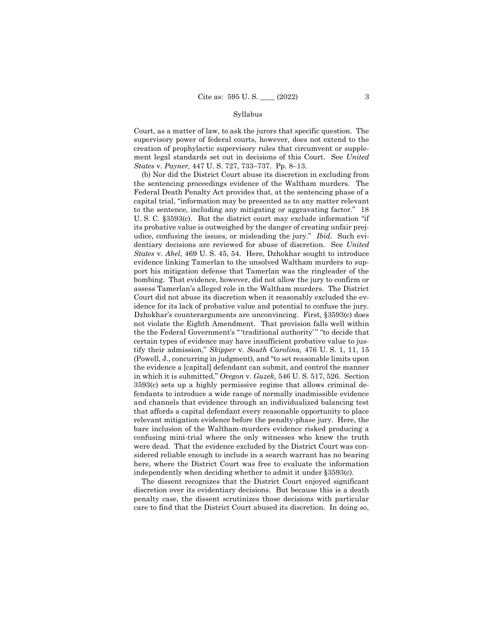Court, as a matter of law, to ask the jurors that specific question. The supervisory power of federal courts, however, does not extend to the creation of prophylactic supervisory rules that circumvent or supplement legal standards set out in decisions of this Court. See *United States* v. *Payner,* 447 U. S. 727, 733–737. Pp. 8–13.

(b) Nor did the District Court abuse its discretion in excluding from the sentencing proceedings evidence of the Waltham murders. The Federal Death Penalty Act provides that, at the sentencing phase of a capital trial, "information may be presented as to any matter relevant to the sentence, including any mitigating or aggravating factor." 18 U. S. C. §3593(c). But the district court may exclude information "if its probative value is outweighed by the danger of creating unfair prejudice, confusing the issues, or misleading the jury." *Ibid.* Such evidentiary decisions are reviewed for abuse of discretion. See *United States* v. *Abel*, 469 U. S. 45, 54. Here, Dzhokhar sought to introduce evidence linking Tamerlan to the unsolved Waltham murders to support his mitigation defense that Tamerlan was the ringleader of the bombing. That evidence, however, did not allow the jury to confirm or assess Tamerlan's alleged role in the Waltham murders. The District Court did not abuse its discretion when it reasonably excluded the evidence for its lack of probative value and potential to confuse the jury. Dzhokhar's counterarguments are unconvincing. First, §3593(c) does not violate the Eighth Amendment. That provision falls well within the the Federal Government's "'traditional authority'" "to decide that certain types of evidence may have insufficient probative value to justify their admission," *Skipper* v. *South Carolina,* 476 U. S. 1, 11, 15 (Powell, J., concurring in judgment), and "to set reasonable limits upon the evidence a [capital] defendant can submit, and control the manner in which it is submitted," *Oregon* v. *Guzek,* 546 U. S. 517, 526. Section 3593(c) sets up a highly permissive regime that allows criminal defendants to introduce a wide range of normally inadmissible evidence and channels that evidence through an individualized balancing test that affords a capital defendant every reasonable opportunity to place relevant mitigation evidence before the penalty-phase jury. Here, the bare inclusion of the Waltham-murders evidence risked producing a confusing mini-trial where the only witnesses who knew the truth were dead. That the evidence excluded by the District Court was considered reliable enough to include in a search warrant has no bearing here, where the District Court was free to evaluate the information independently when deciding whether to admit it under §3593(c).

The dissent recognizes that the District Court enjoyed significant discretion over its evidentiary decisions. But because this is a death penalty case, the dissent scrutinizes those decisions with particular care to find that the District Court abused its discretion. In doing so,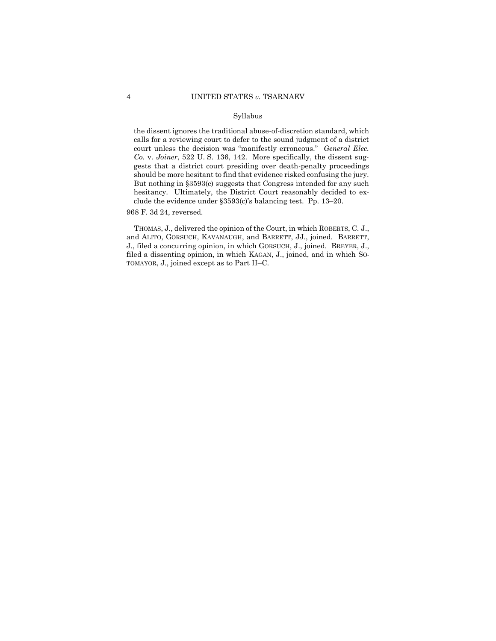the dissent ignores the traditional abuse-of-discretion standard, which calls for a reviewing court to defer to the sound judgment of a district court unless the decision was "manifestly erroneous." *General Elec. Co.* v. *Joiner*, 522 U. S. 136, 142. More specifically, the dissent suggests that a district court presiding over death-penalty proceedings should be more hesitant to find that evidence risked confusing the jury. But nothing in §3593(c) suggests that Congress intended for any such hesitancy. Ultimately, the District Court reasonably decided to exclude the evidence under §3593(c)'s balancing test. Pp. 13–20.

968 F. 3d 24, reversed.

THOMAS, J., delivered the opinion of the Court, in which ROBERTS, C. J., and ALITO, GORSUCH, KAVANAUGH, and BARRETT, JJ., joined. BARRETT, J., filed a concurring opinion, in which GORSUCH, J., joined. BREYER, J., filed a dissenting opinion, in which KAGAN, J., joined, and in which SO-TOMAYOR, J., joined except as to Part II–C.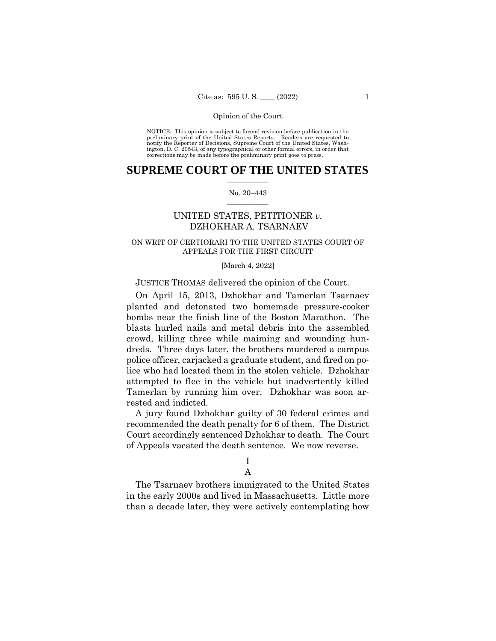NOTICE: This opinion is subject to formal revision before publication in the preliminary print of the United States Reports. Readers are requested to notify the Reporter of Decisions, Supreme Court of the United States, Washington, D. C. 20543, of any typographical or other formal errors, in order that corrections may be made before the preliminary print goes to press.

### **SUPREME COURT OF THE UNITED STATES**  $\overline{\phantom{a}}$  , where  $\overline{\phantom{a}}$

### No. 20–443  $\mathcal{L}=\mathcal{L}^{\mathcal{L}}$

# UNITED STATES, PETITIONER *v.* DZHOKHAR A. TSARNAEV

### ON WRIT OF CERTIORARI TO THE UNITED STATES COURT OF APPEALS FOR THE FIRST CIRCUIT

### [March 4, 2022]

### JUSTICE THOMAS delivered the opinion of the Court.

On April 15, 2013, Dzhokhar and Tamerlan Tsarnaev planted and detonated two homemade pressure-cooker bombs near the finish line of the Boston Marathon. The blasts hurled nails and metal debris into the assembled crowd, killing three while maiming and wounding hundreds. Three days later, the brothers murdered a campus police officer, carjacked a graduate student, and fired on police who had located them in the stolen vehicle. Dzhokhar attempted to flee in the vehicle but inadvertently killed Tamerlan by running him over. Dzhokhar was soon arrested and indicted.

A jury found Dzhokhar guilty of 30 federal crimes and recommended the death penalty for 6 of them. The District Court accordingly sentenced Dzhokhar to death. The Court of Appeals vacated the death sentence. We now reverse.

### I A

The Tsarnaev brothers immigrated to the United States in the early 2000s and lived in Massachusetts. Little more than a decade later, they were actively contemplating how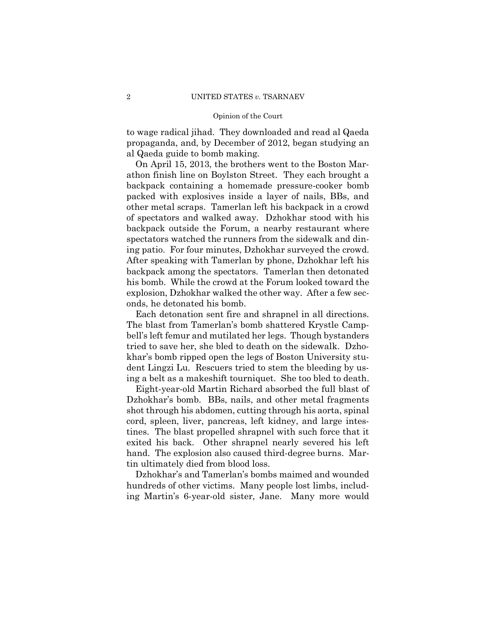to wage radical jihad. They downloaded and read al Qaeda propaganda, and, by December of 2012, began studying an al Qaeda guide to bomb making.

On April 15, 2013, the brothers went to the Boston Marathon finish line on Boylston Street. They each brought a backpack containing a homemade pressure-cooker bomb packed with explosives inside a layer of nails, BBs, and other metal scraps. Tamerlan left his backpack in a crowd of spectators and walked away. Dzhokhar stood with his backpack outside the Forum, a nearby restaurant where spectators watched the runners from the sidewalk and dining patio. For four minutes, Dzhokhar surveyed the crowd. After speaking with Tamerlan by phone, Dzhokhar left his backpack among the spectators. Tamerlan then detonated his bomb. While the crowd at the Forum looked toward the explosion, Dzhokhar walked the other way. After a few seconds, he detonated his bomb.

Each detonation sent fire and shrapnel in all directions. The blast from Tamerlan's bomb shattered Krystle Campbell's left femur and mutilated her legs. Though bystanders tried to save her, she bled to death on the sidewalk. Dzhokhar's bomb ripped open the legs of Boston University student Lingzi Lu. Rescuers tried to stem the bleeding by using a belt as a makeshift tourniquet. She too bled to death.

Eight-year-old Martin Richard absorbed the full blast of Dzhokhar's bomb. BBs, nails, and other metal fragments shot through his abdomen, cutting through his aorta, spinal cord, spleen, liver, pancreas, left kidney, and large intestines. The blast propelled shrapnel with such force that it exited his back. Other shrapnel nearly severed his left hand. The explosion also caused third-degree burns. Martin ultimately died from blood loss.

Dzhokhar's and Tamerlan's bombs maimed and wounded hundreds of other victims. Many people lost limbs, including Martin's 6-year-old sister, Jane. Many more would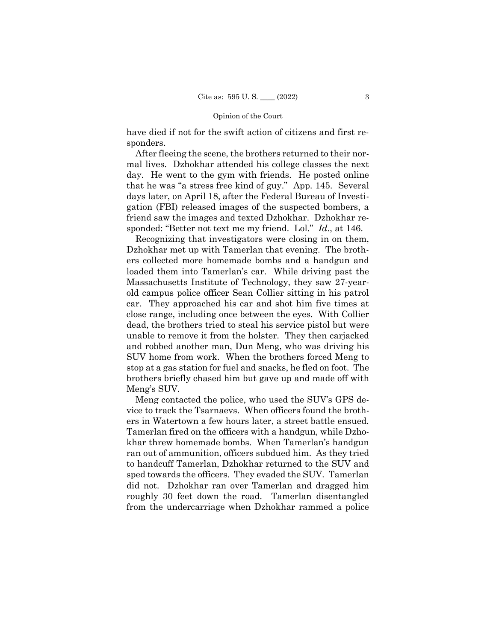have died if not for the swift action of citizens and first responders.

After fleeing the scene, the brothers returned to their normal lives. Dzhokhar attended his college classes the next day. He went to the gym with friends. He posted online that he was "a stress free kind of guy." App. 145. Several days later, on April 18, after the Federal Bureau of Investigation (FBI) released images of the suspected bombers, a friend saw the images and texted Dzhokhar. Dzhokhar responded: "Better not text me my friend. Lol." *Id*., at 146.

Recognizing that investigators were closing in on them, Dzhokhar met up with Tamerlan that evening. The brothers collected more homemade bombs and a handgun and loaded them into Tamerlan's car. While driving past the Massachusetts Institute of Technology, they saw 27-yearold campus police officer Sean Collier sitting in his patrol car. They approached his car and shot him five times at close range, including once between the eyes. With Collier dead, the brothers tried to steal his service pistol but were unable to remove it from the holster. They then carjacked and robbed another man, Dun Meng, who was driving his SUV home from work. When the brothers forced Meng to stop at a gas station for fuel and snacks, he fled on foot. The brothers briefly chased him but gave up and made off with Meng's SUV.

Meng contacted the police, who used the SUV's GPS device to track the Tsarnaevs. When officers found the brothers in Watertown a few hours later, a street battle ensued. Tamerlan fired on the officers with a handgun, while Dzhokhar threw homemade bombs. When Tamerlan's handgun ran out of ammunition, officers subdued him. As they tried to handcuff Tamerlan, Dzhokhar returned to the SUV and sped towards the officers. They evaded the SUV. Tamerlan did not. Dzhokhar ran over Tamerlan and dragged him roughly 30 feet down the road. Tamerlan disentangled from the undercarriage when Dzhokhar rammed a police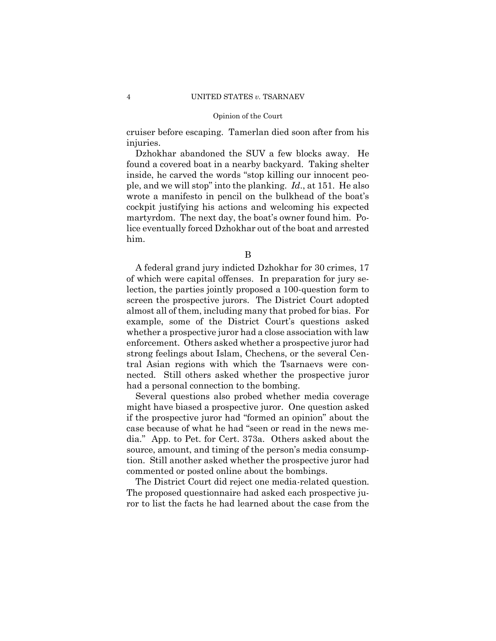cruiser before escaping. Tamerlan died soon after from his injuries.

Dzhokhar abandoned the SUV a few blocks away. He found a covered boat in a nearby backyard. Taking shelter inside, he carved the words "stop killing our innocent people, and we will stop" into the planking. *Id*., at 151. He also wrote a manifesto in pencil on the bulkhead of the boat's cockpit justifying his actions and welcoming his expected martyrdom. The next day, the boat's owner found him. Police eventually forced Dzhokhar out of the boat and arrested him.

A federal grand jury indicted Dzhokhar for 30 crimes, 17 of which were capital offenses. In preparation for jury selection, the parties jointly proposed a 100-question form to screen the prospective jurors. The District Court adopted almost all of them, including many that probed for bias. For example, some of the District Court's questions asked whether a prospective juror had a close association with law enforcement. Others asked whether a prospective juror had strong feelings about Islam, Chechens, or the several Central Asian regions with which the Tsarnaevs were connected. Still others asked whether the prospective juror had a personal connection to the bombing.

Several questions also probed whether media coverage might have biased a prospective juror. One question asked if the prospective juror had "formed an opinion" about the case because of what he had "seen or read in the news media." App. to Pet. for Cert. 373a. Others asked about the source, amount, and timing of the person's media consumption. Still another asked whether the prospective juror had commented or posted online about the bombings.

The District Court did reject one media-related question. The proposed questionnaire had asked each prospective juror to list the facts he had learned about the case from the

B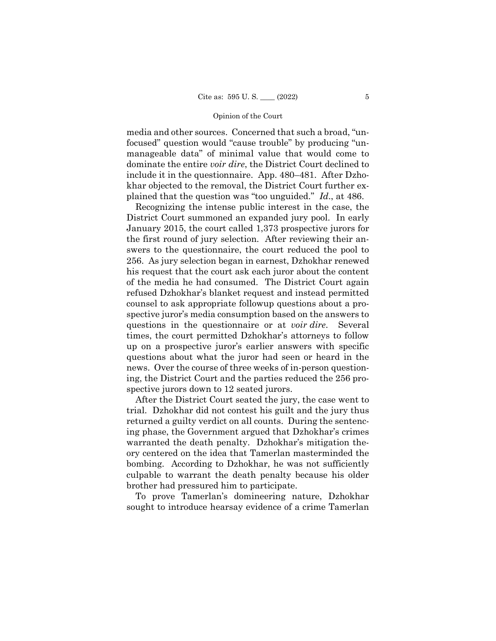media and other sources. Concerned that such a broad, "unfocused" question would "cause trouble" by producing "unmanageable data" of minimal value that would come to dominate the entire *voir dire*, the District Court declined to include it in the questionnaire. App. 480–481. After Dzhokhar objected to the removal, the District Court further explained that the question was "too unguided." *Id*., at 486.

Recognizing the intense public interest in the case, the District Court summoned an expanded jury pool. In early January 2015, the court called 1,373 prospective jurors for the first round of jury selection. After reviewing their answers to the questionnaire, the court reduced the pool to 256. As jury selection began in earnest, Dzhokhar renewed his request that the court ask each juror about the content of the media he had consumed. The District Court again refused Dzhokhar's blanket request and instead permitted counsel to ask appropriate followup questions about a prospective juror's media consumption based on the answers to questions in the questionnaire or at *voir dire*. Several times, the court permitted Dzhokhar's attorneys to follow up on a prospective juror's earlier answers with specific questions about what the juror had seen or heard in the news. Over the course of three weeks of in-person questioning, the District Court and the parties reduced the 256 prospective jurors down to 12 seated jurors.

After the District Court seated the jury, the case went to trial. Dzhokhar did not contest his guilt and the jury thus returned a guilty verdict on all counts. During the sentencing phase, the Government argued that Dzhokhar's crimes warranted the death penalty. Dzhokhar's mitigation theory centered on the idea that Tamerlan masterminded the bombing. According to Dzhokhar, he was not sufficiently culpable to warrant the death penalty because his older brother had pressured him to participate.

To prove Tamerlan's domineering nature, Dzhokhar sought to introduce hearsay evidence of a crime Tamerlan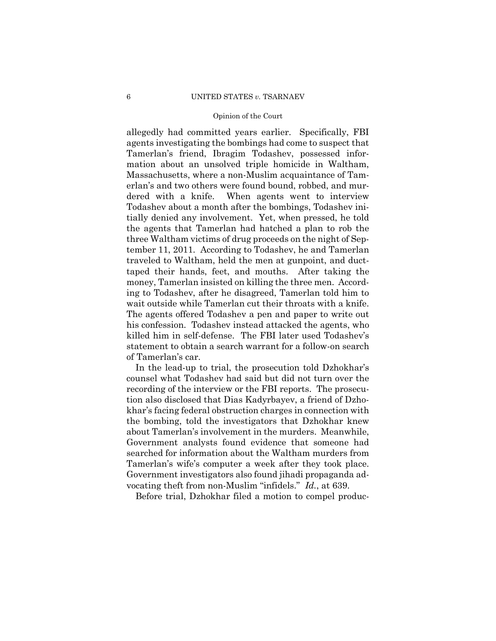allegedly had committed years earlier. Specifically, FBI agents investigating the bombings had come to suspect that Tamerlan's friend, Ibragim Todashev, possessed information about an unsolved triple homicide in Waltham, Massachusetts, where a non-Muslim acquaintance of Tamerlan's and two others were found bound, robbed, and murdered with a knife. When agents went to interview Todashev about a month after the bombings, Todashev initially denied any involvement. Yet, when pressed, he told the agents that Tamerlan had hatched a plan to rob the three Waltham victims of drug proceeds on the night of September 11, 2011. According to Todashev, he and Tamerlan traveled to Waltham, held the men at gunpoint, and ducttaped their hands, feet, and mouths. After taking the money, Tamerlan insisted on killing the three men. According to Todashev, after he disagreed, Tamerlan told him to wait outside while Tamerlan cut their throats with a knife. The agents offered Todashev a pen and paper to write out his confession. Todashev instead attacked the agents, who killed him in self-defense. The FBI later used Todashev's statement to obtain a search warrant for a follow-on search of Tamerlan's car.

In the lead-up to trial, the prosecution told Dzhokhar's counsel what Todashev had said but did not turn over the recording of the interview or the FBI reports. The prosecution also disclosed that Dias Kadyrbayev, a friend of Dzhokhar's facing federal obstruction charges in connection with the bombing, told the investigators that Dzhokhar knew about Tamerlan's involvement in the murders. Meanwhile, Government analysts found evidence that someone had searched for information about the Waltham murders from Tamerlan's wife's computer a week after they took place. Government investigators also found jihadi propaganda advocating theft from non-Muslim "infidels." *Id.*, at 639.

Before trial, Dzhokhar filed a motion to compel produc-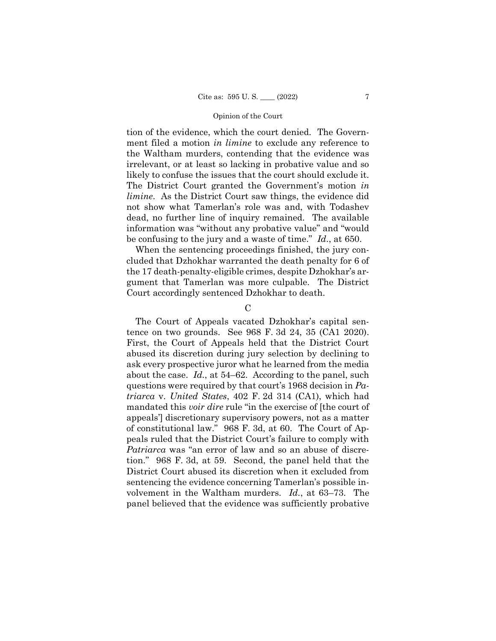tion of the evidence, which the court denied. The Government filed a motion *in limine* to exclude any reference to the Waltham murders, contending that the evidence was irrelevant, or at least so lacking in probative value and so likely to confuse the issues that the court should exclude it. The District Court granted the Government's motion *in limine*. As the District Court saw things, the evidence did not show what Tamerlan's role was and, with Todashev dead, no further line of inquiry remained. The available information was "without any probative value" and "would be confusing to the jury and a waste of time." *Id*., at 650.

When the sentencing proceedings finished, the jury concluded that Dzhokhar warranted the death penalty for 6 of the 17 death-penalty-eligible crimes, despite Dzhokhar's argument that Tamerlan was more culpable. The District Court accordingly sentenced Dzhokhar to death.

 $\mathcal{C}$ 

The Court of Appeals vacated Dzhokhar's capital sentence on two grounds. See 968 F. 3d 24, 35 (CA1 2020). First, the Court of Appeals held that the District Court abused its discretion during jury selection by declining to ask every prospective juror what he learned from the media about the case. *Id.*, at 54–62. According to the panel, such questions were required by that court's 1968 decision in *Patriarca* v. *United States*, 402 F. 2d 314 (CA1), which had mandated this *voir dire* rule "in the exercise of [the court of appeals'] discretionary supervisory powers, not as a matter of constitutional law." 968 F. 3d, at 60. The Court of Appeals ruled that the District Court's failure to comply with *Patriarca* was "an error of law and so an abuse of discretion." 968 F. 3d, at 59.Second, the panel held that the District Court abused its discretion when it excluded from sentencing the evidence concerning Tamerlan's possible involvement in the Waltham murders. *Id.*, at 63–73. The panel believed that the evidence was sufficiently probative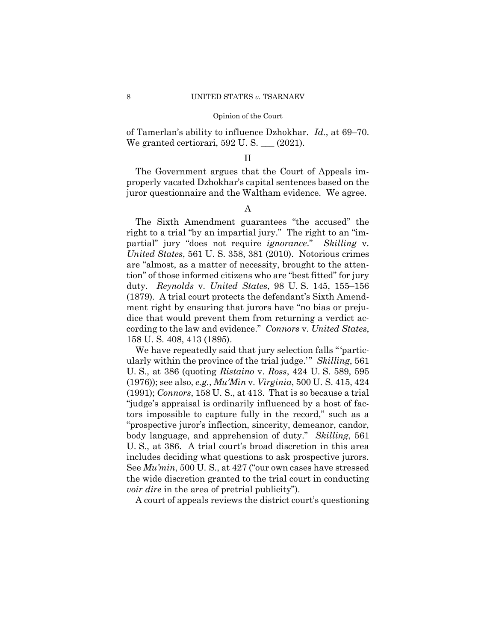of Tamerlan's ability to influence Dzhokhar. *Id.*, at 69–70. We granted certiorari, 592 U. S. \_\_\_ (2021).

### II

The Government argues that the Court of Appeals improperly vacated Dzhokhar's capital sentences based on the juror questionnaire and the Waltham evidence. We agree.

### A

The Sixth Amendment guarantees "the accused" the right to a trial "by an impartial jury." The right to an "impartial" jury "does not require *ignorance*." *Skilling* v. *United States*, 561 U. S. 358, 381 (2010). Notorious crimes are "almost, as a matter of necessity, brought to the attention" of those informed citizens who are "best fitted" for jury duty. *Reynolds* v. *United States*, 98 U. S. 145, 155–156 (1879). A trial court protects the defendant's Sixth Amendment right by ensuring that jurors have "no bias or prejudice that would prevent them from returning a verdict according to the law and evidence." *Connors* v. *United States*, 158 U. S. 408, 413 (1895).

We have repeatedly said that jury selection falls "'particularly within the province of the trial judge.'" *Skilling*, 561 U. S., at 386 (quoting *Ristaino* v. *Ross*, 424 U. S. 589, 595 (1976)); see also, *e.g.*, *Mu'Min* v. *Virginia*, 500 U. S. 415, 424 (1991); *Connors*, 158 U. S., at 413. That is so because a trial "judge's appraisal is ordinarily influenced by a host of factors impossible to capture fully in the record," such as a "prospective juror's inflection, sincerity, demeanor, candor, body language, and apprehension of duty." *Skilling*, 561 U. S., at 386. A trial court's broad discretion in this area includes deciding what questions to ask prospective jurors. See *Mu'min*, 500 U. S., at 427 ("our own cases have stressed the wide discretion granted to the trial court in conducting *voir dire* in the area of pretrial publicity").

A court of appeals reviews the district court's questioning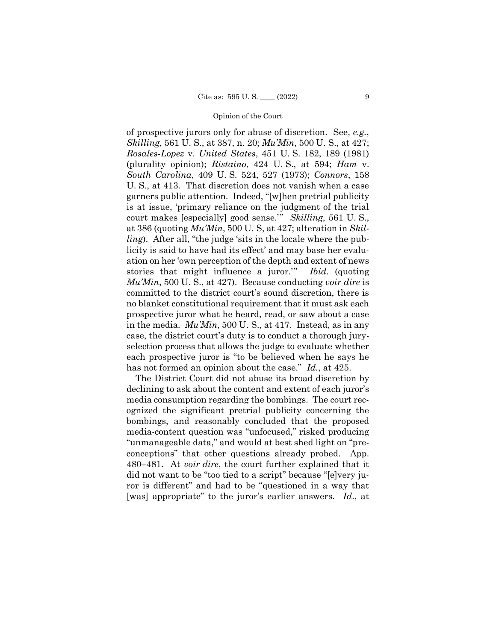of prospective jurors only for abuse of discretion. See, *e.g.*, *Skilling*, 561 U. S., at 387, n. 20; *Mu'Min*, 500 U. S., at 427; *Rosales-Lopez* v. *United States*, 451 U. S. 182, 189 (1981) (plurality opinion); *Ristaino*, 424 U. S., at 594; *Ham* v. *South Carolina*, 409 U. S. 524, 527 (1973); *Connors*, 158 U. S., at 413. That discretion does not vanish when a case garners public attention. Indeed, "[w]hen pretrial publicity is at issue, 'primary reliance on the judgment of the trial court makes [especially] good sense.'" *Skilling*, 561 U. S., at 386 (quoting *Mu'Min*, 500 U. S, at 427; alteration in *Skilling*). After all, "the judge 'sits in the locale where the publicity is said to have had its effect' and may base her evaluation on her 'own perception of the depth and extent of news stories that might influence a juror.'" *Ibid.* (quoting *Mu'Min*, 500 U. S., at 427). Because conducting *voir dire* is committed to the district court's sound discretion, there is no blanket constitutional requirement that it must ask each prospective juror what he heard, read, or saw about a case in the media. *Mu'Min*, 500 U. S., at 417. Instead, as in any case, the district court's duty is to conduct a thorough juryselection process that allows the judge to evaluate whether each prospective juror is "to be believed when he says he has not formed an opinion about the case." *Id.*, at 425.

The District Court did not abuse its broad discretion by declining to ask about the content and extent of each juror's media consumption regarding the bombings. The court recognized the significant pretrial publicity concerning the bombings, and reasonably concluded that the proposed media-content question was "unfocused," risked producing "unmanageable data," and would at best shed light on "preconceptions" that other questions already probed. App. 480–481. At *voir dire*, the court further explained that it did not want to be "too tied to a script" because "[e]very juror is different" and had to be "questioned in a way that [was] appropriate" to the juror's earlier answers. *Id*., at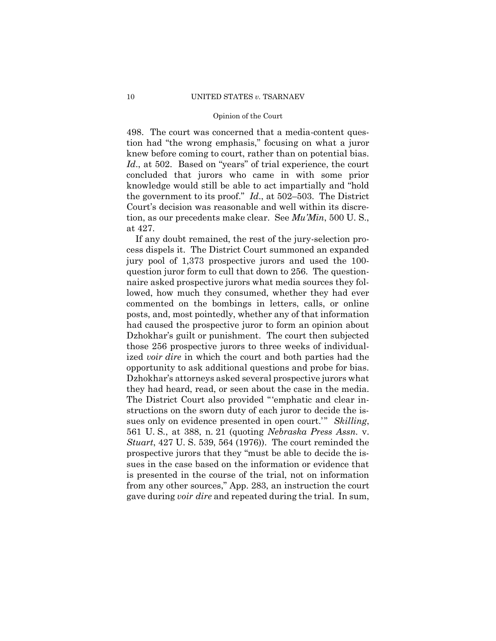498. The court was concerned that a media-content question had "the wrong emphasis," focusing on what a juror knew before coming to court, rather than on potential bias. *Id.*, at 502. Based on "years" of trial experience, the court concluded that jurors who came in with some prior knowledge would still be able to act impartially and "hold the government to its proof." *Id*., at 502–503. The District Court's decision was reasonable and well within its discretion, as our precedents make clear. See *Mu'Min*, 500 U. S., at 427.

If any doubt remained, the rest of the jury-selection process dispels it. The District Court summoned an expanded jury pool of 1,373 prospective jurors and used the 100 question juror form to cull that down to 256. The questionnaire asked prospective jurors what media sources they followed, how much they consumed, whether they had ever commented on the bombings in letters, calls, or online posts, and, most pointedly, whether any of that information had caused the prospective juror to form an opinion about Dzhokhar's guilt or punishment. The court then subjected those 256 prospective jurors to three weeks of individualized *voir dire* in which the court and both parties had the opportunity to ask additional questions and probe for bias. Dzhokhar's attorneys asked several prospective jurors what they had heard, read, or seen about the case in the media. The District Court also provided "'emphatic and clear instructions on the sworn duty of each juror to decide the issues only on evidence presented in open court.'" *Skilling*, 561 U. S*.*, at 388, n. 21 (quoting *Nebraska Press Assn.* v. *Stuart*, 427 U. S. 539, 564 (1976)). The court reminded the prospective jurors that they "must be able to decide the issues in the case based on the information or evidence that is presented in the course of the trial, not on information from any other sources," App. 283, an instruction the court gave during *voir dire* and repeated during the trial. In sum,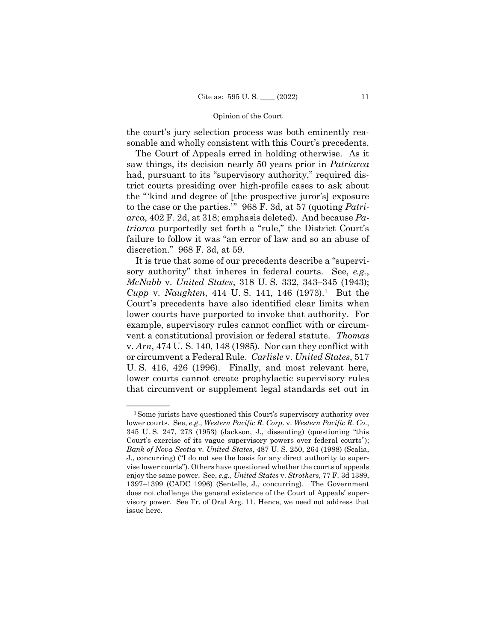the court's jury selection process was both eminently reasonable and wholly consistent with this Court's precedents.

The Court of Appeals erred in holding otherwise. As it saw things, its decision nearly 50 years prior in *Patriarca* had, pursuant to its "supervisory authority," required district courts presiding over high-profile cases to ask about the "'kind and degree of [the prospective juror's] exposure to the case or the parties.'" 968 F. 3d, at 57 (quoting *Patriarca*, 402 F. 2d, at 318; emphasis deleted). And because *Patriarca* purportedly set forth a "rule," the District Court's failure to follow it was "an error of law and so an abuse of discretion." 968 F. 3d, at 59.

It is true that some of our precedents describe a "supervisory authority" that inheres in federal courts. See, *e.g.*, *McNabb* v. *United States*, 318 U. S. 332, 343–345 (1943); *Cupp* v. *Naughten*, 414 U. S. 141, 146 (1973).<sup>1</sup> But the Court's precedents have also identified clear limits when lower courts have purported to invoke that authority. For example, supervisory rules cannot conflict with or circumvent a constitutional provision or federal statute. *Thomas* v. *Arn*, 474 U. S. 140, 148 (1985). Nor can they conflict with or circumvent a Federal Rule. *Carlisle* v. *United States*, 517 U. S. 416, 426 (1996). Finally, and most relevant here, lower courts cannot create prophylactic supervisory rules that circumvent or supplement legal standards set out in

——————

<sup>1</sup>Some jurists have questioned this Court's supervisory authority over lower courts. See, *e*.*g*., *Western Pacific R. Corp*. v. *Western Pacific R. Co*., 345 U. S. 247, 273 (1953) (Jackson, J., dissenting) (questioning "this Court's exercise of its vague supervisory powers over federal courts"); *Bank of Nova Scotia* v. *United States*, 487 U. S. 250, 264 (1988) (Scalia, J., concurring) ("I do not see the basis for any direct authority to supervise lower courts"). Others have questioned whether the courts of appeals enjoy the same power. See, *e.g.*, *United States* v. *Strothers*, 77 F. 3d 1389, 1397–1399 (CADC 1996) (Sentelle, J., concurring). The Government does not challenge the general existence of the Court of Appeals' supervisory power. See Tr. of Oral Arg. 11. Hence, we need not address that issue here.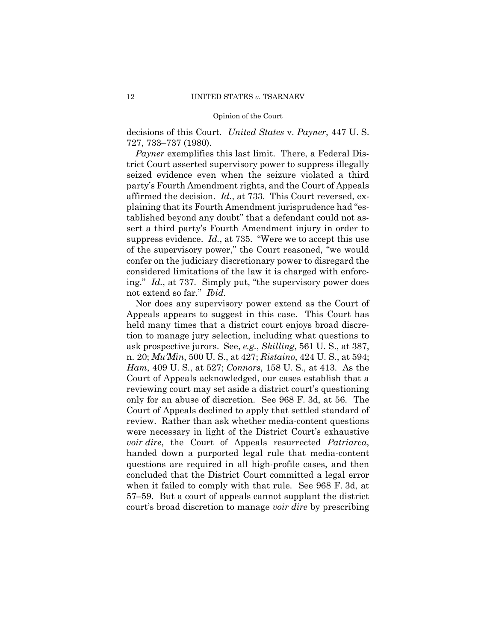decisions of this Court. *United States* v. *Payner*, 447 U. S. 727, 733–737 (1980).

*Payner* exemplifies this last limit. There, a Federal District Court asserted supervisory power to suppress illegally seized evidence even when the seizure violated a third party's Fourth Amendment rights, and the Court of Appeals affirmed the decision. *Id.*, at 733. This Court reversed, explaining that its Fourth Amendment jurisprudence had "established beyond any doubt" that a defendant could not assert a third party's Fourth Amendment injury in order to suppress evidence. *Id.*, at 735. "Were we to accept this use of the supervisory power," the Court reasoned, "we would confer on the judiciary discretionary power to disregard the considered limitations of the law it is charged with enforcing." *Id.*, at 737. Simply put, "the supervisory power does not extend so far." *Ibid.*

Nor does any supervisory power extend as the Court of Appeals appears to suggest in this case. This Court has held many times that a district court enjoys broad discretion to manage jury selection, including what questions to ask prospective jurors. See, *e.g.*, *Skilling*, 561 U. S., at 387, n. 20; *Mu'Min*, 500 U. S., at 427; *Ristaino*, 424 U. S., at 594; *Ham*, 409 U. S., at 527; *Connors*, 158 U. S., at 413. As the Court of Appeals acknowledged, our cases establish that a reviewing court may set aside a district court's questioning only for an abuse of discretion. See 968 F. 3d, at 56. The Court of Appeals declined to apply that settled standard of review. Rather than ask whether media-content questions were necessary in light of the District Court's exhaustive *voir dire*, the Court of Appeals resurrected *Patriarca*, handed down a purported legal rule that media-content questions are required in all high-profile cases, and then concluded that the District Court committed a legal error when it failed to comply with that rule. See 968 F. 3d, at 57–59. But a court of appeals cannot supplant the district court's broad discretion to manage *voir dire* by prescribing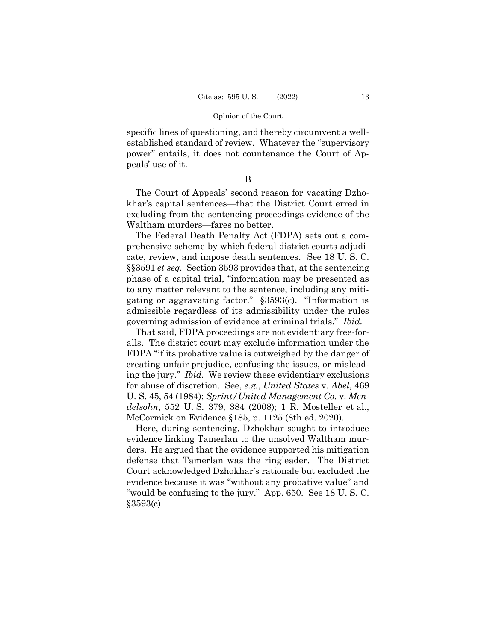specific lines of questioning, and thereby circumvent a wellestablished standard of review. Whatever the "supervisory power" entails, it does not countenance the Court of Appeals' use of it.

# B

The Court of Appeals' second reason for vacating Dzhokhar's capital sentences—that the District Court erred in excluding from the sentencing proceedings evidence of the Waltham murders—fares no better.

The Federal Death Penalty Act (FDPA) sets out a comprehensive scheme by which federal district courts adjudicate, review, and impose death sentences. See 18 U. S. C. §§3591 *et seq.* Section 3593 provides that, at the sentencing phase of a capital trial, "information may be presented as to any matter relevant to the sentence, including any mitigating or aggravating factor." §3593(c). "Information is admissible regardless of its admissibility under the rules governing admission of evidence at criminal trials." *Ibid.*

That said, FDPA proceedings are not evidentiary free-foralls. The district court may exclude information under the FDPA "if its probative value is outweighed by the danger of creating unfair prejudice, confusing the issues, or misleading the jury." *Ibid.* We review these evidentiary exclusions for abuse of discretion. See, *e.g.*, *United States* v. *Abel*, 469 U. S. 45, 54 (1984); *Sprint/United Management Co.* v. *Mendelsohn*, 552 U. S. 379, 384 (2008); 1 R. Mosteller et al., McCormick on Evidence §185, p. 1125 (8th ed. 2020).

Here, during sentencing, Dzhokhar sought to introduce evidence linking Tamerlan to the unsolved Waltham murders. He argued that the evidence supported his mitigation defense that Tamerlan was the ringleader. The District Court acknowledged Dzhokhar's rationale but excluded the evidence because it was "without any probative value" and "would be confusing to the jury." App. 650. See 18 U. S. C. §3593(c).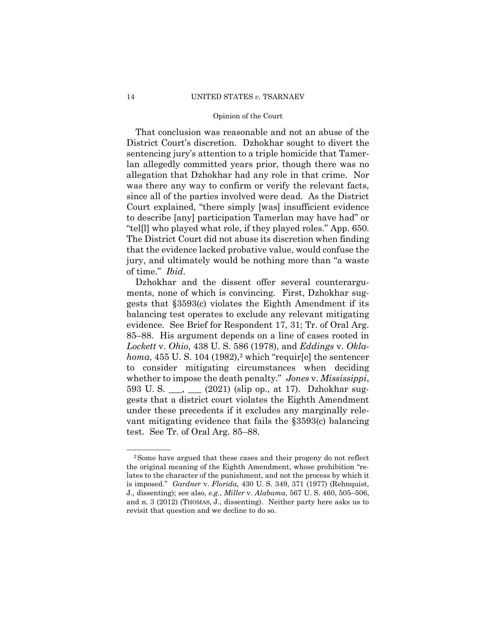That conclusion was reasonable and not an abuse of the District Court's discretion. Dzhokhar sought to divert the sentencing jury's attention to a triple homicide that Tamerlan allegedly committed years prior, though there was no allegation that Dzhokhar had any role in that crime. Nor was there any way to confirm or verify the relevant facts, since all of the parties involved were dead. As the District Court explained, "there simply [was] insufficient evidence to describe [any] participation Tamerlan may have had" or "tel[l] who played what role, if they played roles." App. 650. The District Court did not abuse its discretion when finding that the evidence lacked probative value, would confuse the jury, and ultimately would be nothing more than "a waste of time." *Ibid*.

Dzhokhar and the dissent offer several counterarguments, none of which is convincing. First, Dzhokhar suggests that §3593(c) violates the Eighth Amendment if its balancing test operates to exclude any relevant mitigating evidence. See Brief for Respondent 17, 31; Tr. of Oral Arg. 85–88. His argument depends on a line of cases rooted in *Lockett* v. *Ohio*, 438 U. S. 586 (1978), and *Eddings* v. *Oklahoma*,  $455$  U. S.  $104$   $(1982)$ , which "requir[e] the sentencer to consider mitigating circumstances when deciding whether to impose the death penalty." *Jones* v. *Mississippi*, 593 U. S. \_\_\_, \_\_\_ (2021) (slip op., at 17). Dzhokhar suggests that a district court violates the Eighth Amendment under these precedents if it excludes any marginally relevant mitigating evidence that fails the §3593(c) balancing test. See Tr. of Oral Arg. 85–88.

——————

<sup>2</sup>Some have argued that these cases and their progeny do not reflect the original meaning of the Eighth Amendment, whose prohibition "relates to the character of the punishment, and not the process by which it is imposed." *Gardner* v. *Florida*, 430 U. S. 349, 371 (1977) (Rehnquist, J., dissenting); see also, *e.g.*, *Miller* v. *Alabama*, 567 U. S. 460, 505–506, and n. 3 (2012) (THOMAS, J., dissenting). Neither party here asks us to revisit that question and we decline to do so.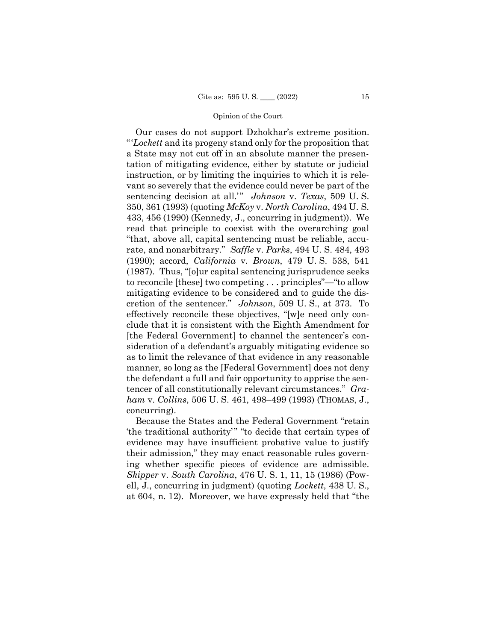Our cases do not support Dzhokhar's extreme position. "'*Lockett* and its progeny stand only for the proposition that a State may not cut off in an absolute manner the presentation of mitigating evidence, either by statute or judicial instruction, or by limiting the inquiries to which it is relevant so severely that the evidence could never be part of the sentencing decision at all.'" *Johnson* v. *Texas*, 509 U. S. 350, 361 (1993) (quoting *McKoy* v. *North Carolina*, 494 U. S. 433, 456 (1990) (Kennedy, J., concurring in judgment)). We read that principle to coexist with the overarching goal "that, above all, capital sentencing must be reliable, accurate, and nonarbitrary." *Saffle* v. *Parks*, 494 U. S. 484, 493 (1990); accord, *California* v. *Brown*, 479 U. S. 538, 541 (1987). Thus, "[o]ur capital sentencing jurisprudence seeks to reconcile [these] two competing . . . principles"—"to allow mitigating evidence to be considered and to guide the discretion of the sentencer." *Johnson*, 509 U. S., at 373. To effectively reconcile these objectives, "[w]e need only conclude that it is consistent with the Eighth Amendment for [the Federal Government] to channel the sentencer's consideration of a defendant's arguably mitigating evidence so as to limit the relevance of that evidence in any reasonable manner, so long as the [Federal Government] does not deny the defendant a full and fair opportunity to apprise the sentencer of all constitutionally relevant circumstances." *Graham* v. *Collins*, 506 U. S. 461, 498–499 (1993) (THOMAS, J., concurring).

Because the States and the Federal Government "retain 'the traditional authority'" "to decide that certain types of evidence may have insufficient probative value to justify their admission," they may enact reasonable rules governing whether specific pieces of evidence are admissible. *Skipper* v. *South Carolina*, 476 U. S. 1, 11, 15 (1986) (Powell, J., concurring in judgment) (quoting *Lockett*, 438 U. S., at 604, n. 12). Moreover, we have expressly held that "the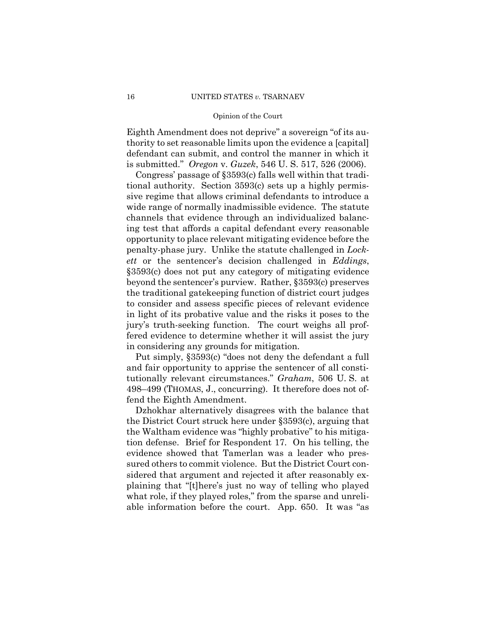Eighth Amendment does not deprive" a sovereign "of its authority to set reasonable limits upon the evidence a [capital] defendant can submit, and control the manner in which it is submitted." *Oregon* v. *Guzek*, 546 U. S. 517, 526 (2006).

Congress' passage of §3593(c) falls well within that traditional authority. Section 3593(c) sets up a highly permissive regime that allows criminal defendants to introduce a wide range of normally inadmissible evidence. The statute channels that evidence through an individualized balancing test that affords a capital defendant every reasonable opportunity to place relevant mitigating evidence before the penalty-phase jury. Unlike the statute challenged in *Lockett* or the sentencer's decision challenged in *Eddings*, §3593(c) does not put any category of mitigating evidence beyond the sentencer's purview. Rather, §3593(c) preserves the traditional gatekeeping function of district court judges to consider and assess specific pieces of relevant evidence in light of its probative value and the risks it poses to the jury's truth-seeking function. The court weighs all proffered evidence to determine whether it will assist the jury in considering any grounds for mitigation.

Put simply, §3593(c) "does not deny the defendant a full and fair opportunity to apprise the sentencer of all constitutionally relevant circumstances." *Graham*, 506 U. S. at 498–499 (THOMAS, J., concurring). It therefore does not offend the Eighth Amendment.

Dzhokhar alternatively disagrees with the balance that the District Court struck here under §3593(c), arguing that the Waltham evidence was "highly probative" to his mitigation defense. Brief for Respondent 17. On his telling, the evidence showed that Tamerlan was a leader who pressured others to commit violence. But the District Court considered that argument and rejected it after reasonably explaining that "[t]here's just no way of telling who played what role, if they played roles," from the sparse and unreliable information before the court. App. 650. It was "as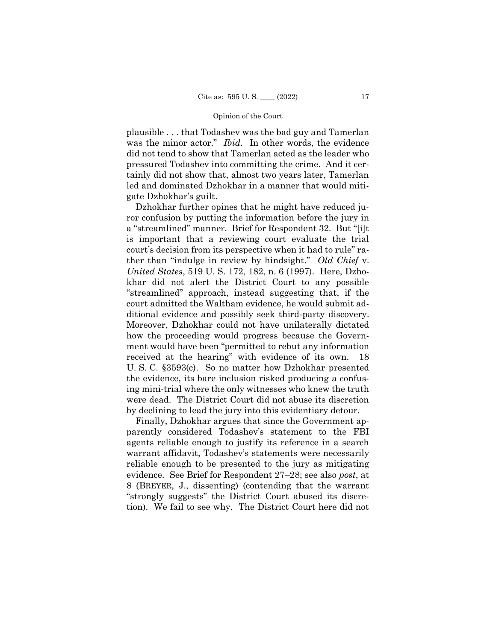plausible . . . that Todashev was the bad guy and Tamerlan was the minor actor." *Ibid.* In other words, the evidence did not tend to show that Tamerlan acted as the leader who pressured Todashev into committing the crime. And it certainly did not show that, almost two years later, Tamerlan led and dominated Dzhokhar in a manner that would mitigate Dzhokhar's guilt.

Dzhokhar further opines that he might have reduced juror confusion by putting the information before the jury in a "streamlined" manner. Brief for Respondent 32. But "[i]t is important that a reviewing court evaluate the trial court's decision from its perspective when it had to rule" rather than "indulge in review by hindsight." *Old Chief* v. *United States*, 519 U. S. 172, 182, n. 6 (1997). Here, Dzhokhar did not alert the District Court to any possible "streamlined" approach, instead suggesting that, if the court admitted the Waltham evidence, he would submit additional evidence and possibly seek third-party discovery. Moreover, Dzhokhar could not have unilaterally dictated how the proceeding would progress because the Government would have been "permitted to rebut any information received at the hearing" with evidence of its own. 18 U. S. C. §3593(c). So no matter how Dzhokhar presented the evidence, its bare inclusion risked producing a confusing mini-trial where the only witnesses who knew the truth were dead. The District Court did not abuse its discretion by declining to lead the jury into this evidentiary detour.

Finally, Dzhokhar argues that since the Government apparently considered Todashev's statement to the FBI agents reliable enough to justify its reference in a search warrant affidavit, Todashev's statements were necessarily reliable enough to be presented to the jury as mitigating evidence. See Brief for Respondent 27–28; see also *post*, at 8 (BREYER, J., dissenting) (contending that the warrant "strongly suggests" the District Court abused its discretion). We fail to see why. The District Court here did not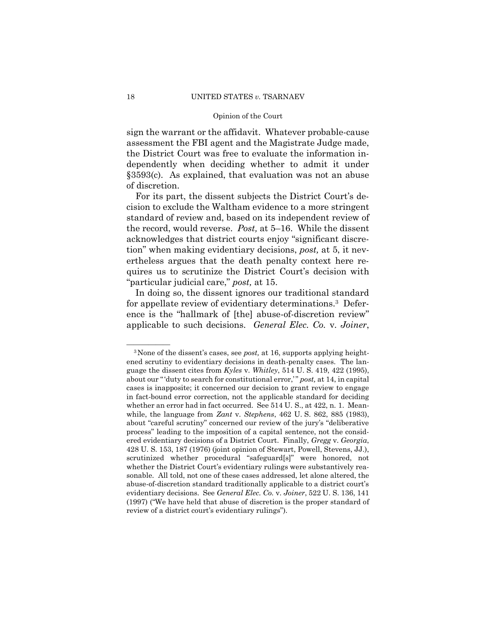sign the warrant or the affidavit. Whatever probable-cause assessment the FBI agent and the Magistrate Judge made, the District Court was free to evaluate the information independently when deciding whether to admit it under §3593(c). As explained, that evaluation was not an abuse of discretion.

For its part, the dissent subjects the District Court's decision to exclude the Waltham evidence to a more stringent standard of review and, based on its independent review of the record, would reverse. *Post,* at 5–16. While the dissent acknowledges that district courts enjoy "significant discretion" when making evidentiary decisions, *post,* at 5, it nevertheless argues that the death penalty context here requires us to scrutinize the District Court's decision with "particular judicial care," *post,* at 15.

In doing so, the dissent ignores our traditional standard for appellate review of evidentiary determinations.<sup>3</sup> Deference is the "hallmark of [the] abuse-of-discretion review" applicable to such decisions. *General Elec. Co.* v. *Joiner*,

——————

<sup>3</sup>None of the dissent's cases, see *post,* at 16, supports applying heightened scrutiny to evidentiary decisions in death-penalty cases. The language the dissent cites from *Kyles* v. *Whitley*, 514 U. S. 419, 422 (1995), about our "'duty to search for constitutional error,'" *post,* at 14, in capital cases is inapposite; it concerned our decision to grant review to engage in fact-bound error correction, not the applicable standard for deciding whether an error had in fact occurred. See 514 U. S., at 422, n. 1. Meanwhile, the language from *Zant* v. *Stephens*, 462 U. S. 862, 885 (1983), about "careful scrutiny" concerned our review of the jury's "deliberative process" leading to the imposition of a capital sentence, not the considered evidentiary decisions of a District Court. Finally, *Gregg* v. *Georgia*, 428 U. S. 153, 187 (1976) (joint opinion of Stewart, Powell, Stevens, JJ.), scrutinized whether procedural "safeguard[s]" were honored, not whether the District Court's evidentiary rulings were substantively reasonable. All told, not one of these cases addressed, let alone altered, the abuse-of-discretion standard traditionally applicable to a district court's evidentiary decisions. See *General Elec. Co.* v. *Joiner*, 522 U. S. 136, 141 (1997) ("We have held that abuse of discretion is the proper standard of review of a district court's evidentiary rulings").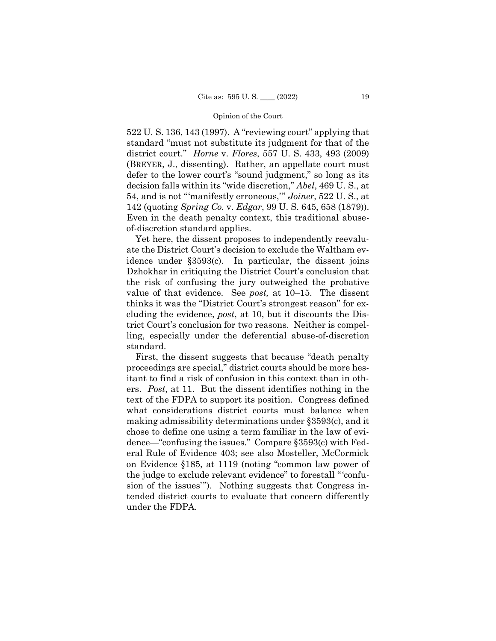522 U. S. 136, 143 (1997). A "reviewing court" applying that standard "must not substitute its judgment for that of the district court." *Horne* v. *Flores*, 557 U. S. 433, 493 (2009) (BREYER, J., dissenting). Rather, an appellate court must defer to the lower court's "sound judgment," so long as its decision falls within its "wide discretion," *Abel*, 469 U. S., at 54, and is not "'manifestly erroneous,'" *Joiner*, 522 U. S., at 142 (quoting *Spring Co.* v. *Edgar*, 99 U. S. 645, 658 (1879)). Even in the death penalty context, this traditional abuseof-discretion standard applies.

Yet here, the dissent proposes to independently reevaluate the District Court's decision to exclude the Waltham evidence under §3593(c). In particular, the dissent joins Dzhokhar in critiquing the District Court's conclusion that the risk of confusing the jury outweighed the probative value of that evidence. See *post,* at 10–15. The dissent thinks it was the "District Court's strongest reason" for excluding the evidence, *post*, at 10, but it discounts the District Court's conclusion for two reasons. Neither is compelling, especially under the deferential abuse-of-discretion standard.

First, the dissent suggests that because "death penalty proceedings are special," district courts should be more hesitant to find a risk of confusion in this context than in others. *Post*, at 11. But the dissent identifies nothing in the text of the FDPA to support its position. Congress defined what considerations district courts must balance when making admissibility determinations under §3593(c), and it chose to define one using a term familiar in the law of evidence—"confusing the issues." Compare §3593(c) with Federal Rule of Evidence 403; see also Mosteller, McCormick on Evidence §185, at 1119 (noting "common law power of the judge to exclude relevant evidence" to forestall "'confusion of the issues'"). Nothing suggests that Congress intended district courts to evaluate that concern differently under the FDPA.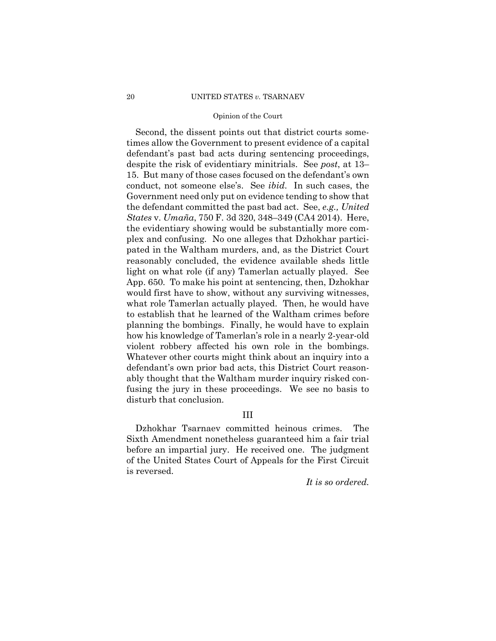Second, the dissent points out that district courts sometimes allow the Government to present evidence of a capital defendant's past bad acts during sentencing proceedings, despite the risk of evidentiary minitrials. See *post*, at 13– 15. But many of those cases focused on the defendant's own conduct, not someone else's. See *ibid*. In such cases, the Government need only put on evidence tending to show that the defendant committed the past bad act. See, *e.g., United States* v. *Umaña*, 750 F. 3d 320, 348–349 (CA4 2014). Here, the evidentiary showing would be substantially more complex and confusing. No one alleges that Dzhokhar participated in the Waltham murders, and, as the District Court reasonably concluded, the evidence available sheds little light on what role (if any) Tamerlan actually played. See App. 650. To make his point at sentencing, then, Dzhokhar would first have to show, without any surviving witnesses, what role Tamerlan actually played. Then, he would have to establish that he learned of the Waltham crimes before planning the bombings. Finally, he would have to explain how his knowledge of Tamerlan's role in a nearly 2-year-old violent robbery affected his own role in the bombings. Whatever other courts might think about an inquiry into a defendant's own prior bad acts, this District Court reasonably thought that the Waltham murder inquiry risked confusing the jury in these proceedings. We see no basis to disturb that conclusion.

### III

Dzhokhar Tsarnaev committed heinous crimes. The Sixth Amendment nonetheless guaranteed him a fair trial before an impartial jury. He received one. The judgment of the United States Court of Appeals for the First Circuit is reversed.

*It is so ordered.*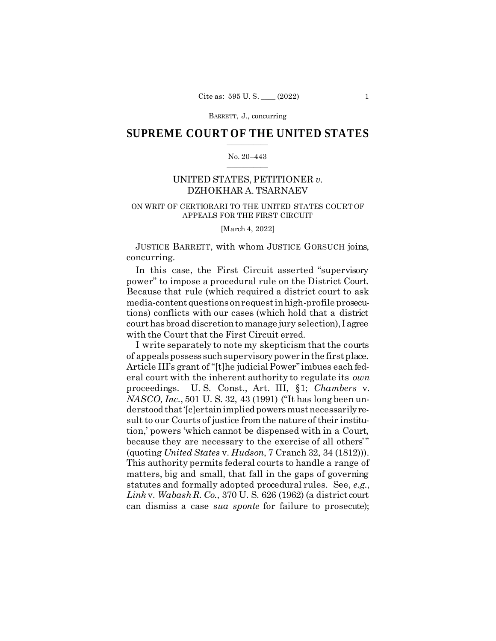BARRETT, J., concurring

### **SUPREME COURT OF THE UNITED STATES**  $\overline{\phantom{a}}$  , where  $\overline{\phantom{a}}$

#### No. 20–443  $\mathcal{L}=\mathcal{L}^{\mathcal{L}}$

# UNITED STATES, PETITIONER *v.* DZHOKHAR A. TSARNAEV

# ON WRIT OF CERTIORARI TO THE UNITED STATES COURT OF APPEALS FOR THE FIRST CIRCUIT

[March 4, 2022]

JUSTICE BARRETT, with whom JUSTICE GORSUCH joins, concurring.

In this case, the First Circuit asserted "supervisory power" to impose a procedural rule on the District Court. Because that rule (which required a district court to ask media-content questions on request in high-profile prosecutions) conflicts with our cases (which hold that a district court has broad discretion to manage jury selection), I agree with the Court that the First Circuit erred.

I write separately to note my skepticism that the courts of appeals possess such supervisory power in the first place. Article III's grant of "[t]he judicial Power" imbues each federal court with the inherent authority to regulate its *own* proceedings. U. S. Const., Art. III, §1; *Chambers* v. *NASCO, Inc.*, 501 U. S. 32, 43 (1991) ("It has long been understood that '[c]ertain implied powers must necessarily result to our Courts of justice from the nature of their institution,' powers 'which cannot be dispensed with in a Court, because they are necessary to the exercise of all others'" (quoting *United States* v. *Hudson*, 7 Cranch 32, 34 (1812))). This authority permits federal courts to handle a range of matters, big and small, that fall in the gaps of governing statutes and formally adopted procedural rules. See, *e.g.*, *Link* v. *Wabash R. Co.*, 370 U. S. 626 (1962) (a district court can dismiss a case *sua sponte* for failure to prosecute);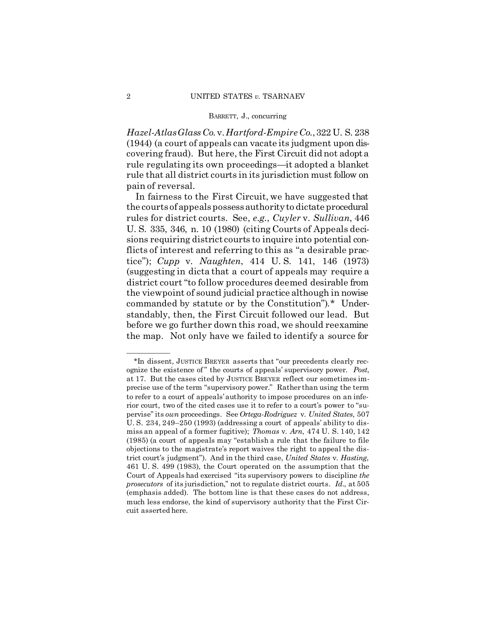### BARRETT, J., concurring

*Hazel-Atlas Glass Co.* v. *Hartford-Empire Co.*, 322 U. S. 238 (1944) (a court of appeals can vacate its judgment upon discovering fraud). But here, the First Circuit did not adopt a rule regulating its own proceedings—it adopted a blanket rule that all district courts in its jurisdiction must follow on pain of reversal.

In fairness to the First Circuit, we have suggested that the courts of appeals possess authority to dictate procedural rules for district courts. See, *e.g.*, *Cuyler* v. *Sullivan*, 446 U. S. 335, 346, n. 10 (1980) (citing Courts of Appeals decisions requiring district courts to inquire into potential conflicts of interest and referring to this as "a desirable practice"); *Cupp* v. *Naughten*, 414 U. S. 141, 146 (1973) (suggesting in dicta that a court of appeals may require a district court "to follow procedures deemed desirable from the viewpoint of sound judicial practice although in nowise commanded by statute or by the Constitution").\* Understandably, then, the First Circuit followed our lead. But before we go further down this road, we should reexamine the map. Not only have we failed to identify a source for

——————

<sup>\*</sup>In dissent, JUSTICE BREYER asserts that "our precedents clearly recognize the existence of" the courts of appeals' supervisory power. *Post*, at 17. But the cases cited by JUSTICE BREYER reflect our sometimes imprecise use of the term "supervisory power." Rather than using the term to refer to a court of appeals' authority to impose procedures on an inferior court, two of the cited cases use it to refer to a court's power to "supervise" its *own* proceedings. See *Ortega-Rodriguez* v. *United States*, 507 U. S. 234, 249–250 (1993) (addressing a court of appeals' ability to dismiss an appeal of a former fugitive); *Thomas* v. *Arn*, 474 U. S. 140, 142 (1985) (a court of appeals may "establish a rule that the failure to file objections to the magistrate's report waives the right to appeal the district court's judgment"). And in the third case, *United States* v. *Hasting*, 461 U. S. 499 (1983), the Court operated on the assumption that the Court of Appeals had exercised "its supervisory powers to discipline *the prosecutors* of its jurisdiction," not to regulate district courts. *Id*., at 505 (emphasis added). The bottom line is that these cases do not address, much less endorse, the kind of supervisory authority that the First Circuit asserted here.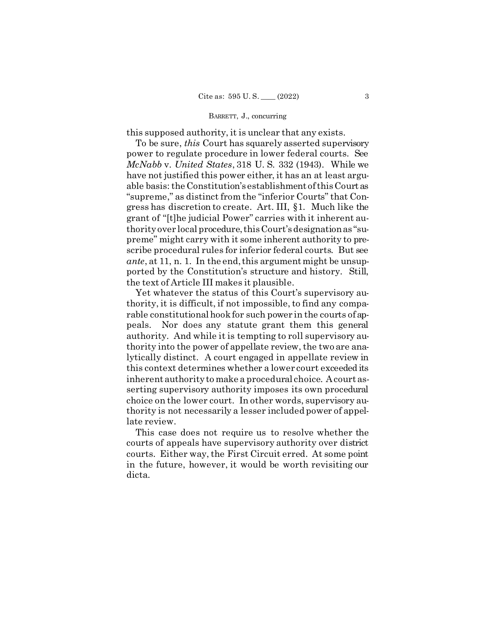### BARRETT, J., concurring

this supposed authority, it is unclear that any exists.

To be sure, *this* Court has squarely asserted supervisory power to regulate procedure in lower federal courts. See *McNabb* v. *United States*, 318 U. S. 332 (1943). While we have not justified this power either, it has an at least arguable basis: the Constitution's establishment of this Court as "supreme," as distinct from the "inferior Courts" that Congress has discretion to create. Art. III, §1. Much like the grant of "[t]he judicial Power" carries with it inherent authority over local procedure, this Court's designation as "supreme" might carry with it some inherent authority to prescribe procedural rules for inferior federal courts. But see *ante*, at 11, n. 1. In the end, this argument might be unsupported by the Constitution's structure and history. Still, the text of Article III makes it plausible.

Yet whatever the status of this Court's supervisory authority, it is difficult, if not impossible, to find any comparable constitutional hook for such power in the courts of appeals. Nor does any statute grant them this general authority. And while it is tempting to roll supervisory authority into the power of appellate review, the two are analytically distinct. A court engaged in appellate review in this context determines whether a lower court exceeded its inherent authority to make a procedural choice. A court asserting supervisory authority imposes its own procedural choice on the lower court. In other words, supervisory authority is not necessarily a lesser included power of appellate review.

This case does not require us to resolve whether the courts of appeals have supervisory authority over district courts. Either way, the First Circuit erred. At some point in the future, however, it would be worth revisiting our dicta.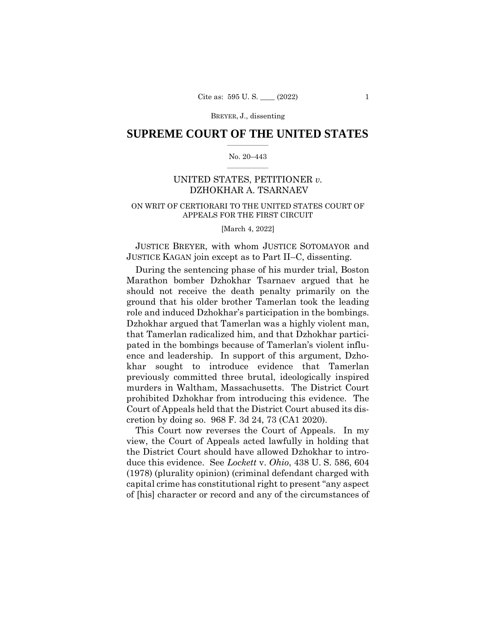### **SUPREME COURT OF THE UNITED STATES**  $\overline{\phantom{a}}$  , where  $\overline{\phantom{a}}$

### No. 20–443  $\mathcal{L}=\mathcal{L}^{\mathcal{L}}$

# UNITED STATES, PETITIONER *v.* DZHOKHAR A. TSARNAEV

# ON WRIT OF CERTIORARI TO THE UNITED STATES COURT OF APPEALS FOR THE FIRST CIRCUIT

### [March 4, 2022]

JUSTICE BREYER, with whom JUSTICE SOTOMAYOR and JUSTICE KAGAN join except as to Part II–C, dissenting.

During the sentencing phase of his murder trial, Boston Marathon bomber Dzhokhar Tsarnaev argued that he should not receive the death penalty primarily on the ground that his older brother Tamerlan took the leading role and induced Dzhokhar's participation in the bombings. Dzhokhar argued that Tamerlan was a highly violent man, that Tamerlan radicalized him, and that Dzhokhar participated in the bombings because of Tamerlan's violent influence and leadership. In support of this argument, Dzhokhar sought to introduce evidence that Tamerlan previously committed three brutal, ideologically inspired murders in Waltham, Massachusetts. The District Court prohibited Dzhokhar from introducing this evidence. The Court of Appeals held that the District Court abused its discretion by doing so. 968 F. 3d 24, 73 (CA1 2020).

This Court now reverses the Court of Appeals. In my view, the Court of Appeals acted lawfully in holding that the District Court should have allowed Dzhokhar to introduce this evidence. See *Lockett* v. *Ohio*, 438 U. S. 586, 604 (1978) (plurality opinion) (criminal defendant charged with capital crime has constitutional right to present "any aspect of [his] character or record and any of the circumstances of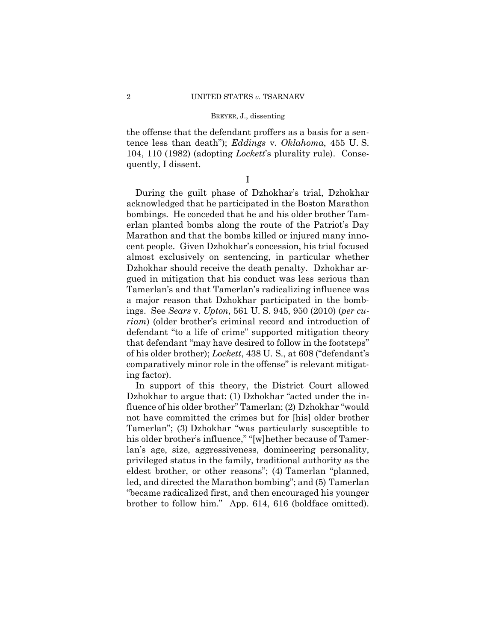the offense that the defendant proffers as a basis for a sentence less than death"); *Eddings* v. *Oklahoma*, 455 U. S. 104, 110 (1982) (adopting *Lockett*'s plurality rule). Consequently, I dissent.

I

During the guilt phase of Dzhokhar's trial, Dzhokhar acknowledged that he participated in the Boston Marathon bombings. He conceded that he and his older brother Tamerlan planted bombs along the route of the Patriot's Day Marathon and that the bombs killed or injured many innocent people. Given Dzhokhar's concession, his trial focused almost exclusively on sentencing, in particular whether Dzhokhar should receive the death penalty. Dzhokhar argued in mitigation that his conduct was less serious than Tamerlan's and that Tamerlan's radicalizing influence was a major reason that Dzhokhar participated in the bombings. See *Sears* v. *Upton*, 561 U. S. 945, 950 (2010) (*per curiam*) (older brother's criminal record and introduction of defendant "to a life of crime" supported mitigation theory that defendant "may have desired to follow in the footsteps" of his older brother); *Lockett*, 438 U. S., at 608 ("defendant's comparatively minor role in the offense" is relevant mitigating factor).

In support of this theory, the District Court allowed Dzhokhar to argue that: (1) Dzhokhar "acted under the influence of his older brother" Tamerlan; (2) Dzhokhar "would not have committed the crimes but for [his] older brother Tamerlan"; (3) Dzhokhar "was particularly susceptible to his older brother's influence," "[w]hether because of Tamerlan's age, size, aggressiveness, domineering personality, privileged status in the family, traditional authority as the eldest brother, or other reasons"; (4) Tamerlan "planned, led, and directed the Marathon bombing"; and (5) Tamerlan "became radicalized first, and then encouraged his younger brother to follow him." App. 614, 616 (boldface omitted).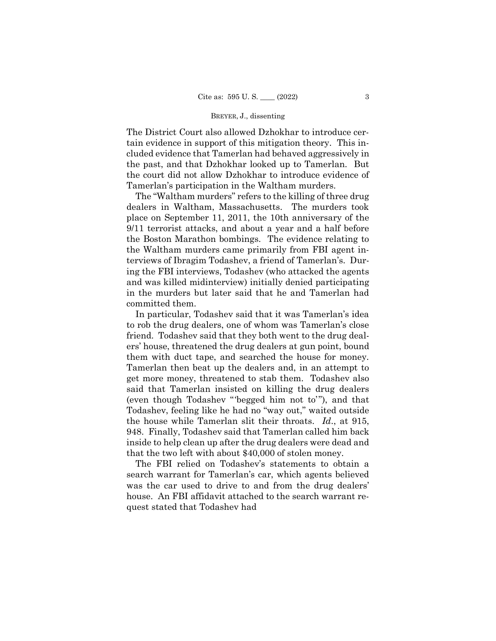The District Court also allowed Dzhokhar to introduce certain evidence in support of this mitigation theory. This included evidence that Tamerlan had behaved aggressively in the past, and that Dzhokhar looked up to Tamerlan. But the court did not allow Dzhokhar to introduce evidence of Tamerlan's participation in the Waltham murders.

The "Waltham murders" refers to the killing of three drug dealers in Waltham, Massachusetts. The murders took place on September 11, 2011, the 10th anniversary of the 9/11 terrorist attacks, and about a year and a half before the Boston Marathon bombings. The evidence relating to the Waltham murders came primarily from FBI agent interviews of Ibragim Todashev, a friend of Tamerlan's. During the FBI interviews, Todashev (who attacked the agents and was killed midinterview) initially denied participating in the murders but later said that he and Tamerlan had committed them.

In particular, Todashev said that it was Tamerlan's idea to rob the drug dealers, one of whom was Tamerlan's close friend. Todashev said that they both went to the drug dealers' house, threatened the drug dealers at gun point, bound them with duct tape, and searched the house for money. Tamerlan then beat up the dealers and, in an attempt to get more money, threatened to stab them. Todashev also said that Tamerlan insisted on killing the drug dealers (even though Todashev "'begged him not to'"), and that Todashev, feeling like he had no "way out," waited outside the house while Tamerlan slit their throats. *Id*., at 915, 948. Finally, Todashev said that Tamerlan called him back inside to help clean up after the drug dealers were dead and that the two left with about \$40,000 of stolen money.

The FBI relied on Todashev's statements to obtain a search warrant for Tamerlan's car, which agents believed was the car used to drive to and from the drug dealers' house. An FBI affidavit attached to the search warrant request stated that Todashev had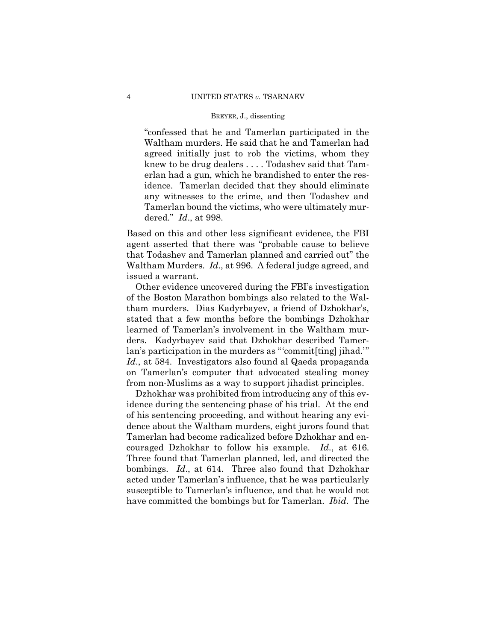"confessed that he and Tamerlan participated in the Waltham murders. He said that he and Tamerlan had agreed initially just to rob the victims, whom they knew to be drug dealers . . . . Todashev said that Tamerlan had a gun, which he brandished to enter the residence. Tamerlan decided that they should eliminate any witnesses to the crime, and then Todashev and Tamerlan bound the victims, who were ultimately murdered." *Id*., at 998.

Based on this and other less significant evidence, the FBI agent asserted that there was "probable cause to believe that Todashev and Tamerlan planned and carried out" the Waltham Murders. *Id*., at 996. A federal judge agreed, and issued a warrant.

Other evidence uncovered during the FBI's investigation of the Boston Marathon bombings also related to the Waltham murders. Dias Kadyrbayev, a friend of Dzhokhar's, stated that a few months before the bombings Dzhokhar learned of Tamerlan's involvement in the Waltham murders. Kadyrbayev said that Dzhokhar described Tamerlan's participation in the murders as "'commit[ting] jihad.'" *Id*., at 584. Investigators also found al Qaeda propaganda on Tamerlan's computer that advocated stealing money from non-Muslims as a way to support jihadist principles.

Dzhokhar was prohibited from introducing any of this evidence during the sentencing phase of his trial. At the end of his sentencing proceeding, and without hearing any evidence about the Waltham murders, eight jurors found that Tamerlan had become radicalized before Dzhokhar and encouraged Dzhokhar to follow his example. *Id*., at 616. Three found that Tamerlan planned, led, and directed the bombings. *Id*., at 614. Three also found that Dzhokhar acted under Tamerlan's influence, that he was particularly susceptible to Tamerlan's influence, and that he would not have committed the bombings but for Tamerlan. *Ibid*. The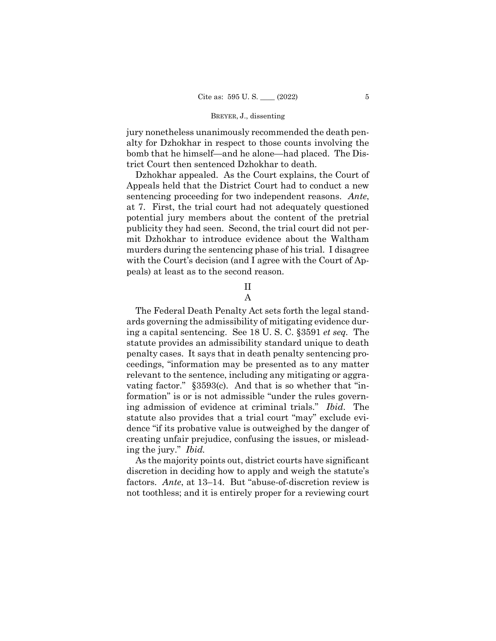jury nonetheless unanimously recommended the death penalty for Dzhokhar in respect to those counts involving the bomb that he himself—and he alone—had placed. The District Court then sentenced Dzhokhar to death.

Dzhokhar appealed. As the Court explains, the Court of Appeals held that the District Court had to conduct a new sentencing proceeding for two independent reasons. *Ante*, at 7. First, the trial court had not adequately questioned potential jury members about the content of the pretrial publicity they had seen. Second, the trial court did not permit Dzhokhar to introduce evidence about the Waltham murders during the sentencing phase of his trial. I disagree with the Court's decision (and I agree with the Court of Appeals) at least as to the second reason.

### II A

The Federal Death Penalty Act sets forth the legal standards governing the admissibility of mitigating evidence during a capital sentencing. See 18 U. S. C. §3591 *et seq.* The statute provides an admissibility standard unique to death penalty cases. It says that in death penalty sentencing proceedings, "information may be presented as to any matter relevant to the sentence, including any mitigating or aggravating factor." §3593(c). And that is so whether that "information" is or is not admissible "under the rules governing admission of evidence at criminal trials." *Ibid*.The statute also provides that a trial court "may" exclude evidence "if its probative value is outweighed by the danger of creating unfair prejudice, confusing the issues, or misleading the jury." *Ibid.*

As the majority points out, district courts have significant discretion in deciding how to apply and weigh the statute's factors. *Ante*, at 13–14. But "abuse-of-discretion review is not toothless; and it is entirely proper for a reviewing court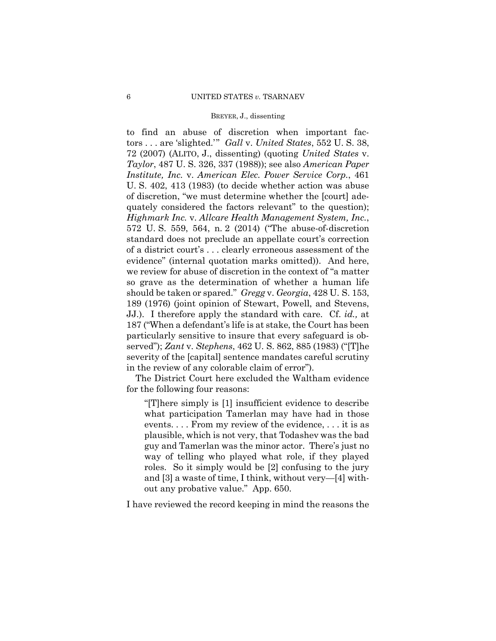to find an abuse of discretion when important factors . . . are 'slighted.'" *Gall* v. *United States*, 552 U. S. 38, 72 (2007) (ALITO, J., dissenting) (quoting *United States* v. *Taylor*, 487 U. S. 326, 337 (1988)); see also *American Paper Institute, Inc.* v. *American Elec. Power Service Corp.*, 461 U. S. 402, 413 (1983) (to decide whether action was abuse of discretion, "we must determine whether the [court] adequately considered the factors relevant" to the question); *Highmark Inc.* v. *Allcare Health Management System, Inc.*, 572 U. S. 559, 564, n. 2 (2014) ("The abuse-of-discretion standard does not preclude an appellate court's correction of a district court's . . . clearly erroneous assessment of the evidence" (internal quotation marks omitted)). And here, we review for abuse of discretion in the context of "a matter so grave as the determination of whether a human life should be taken or spared." *Gregg* v. *Georgia*, 428 U. S. 153, 189 (1976) (joint opinion of Stewart, Powell, and Stevens, JJ.). I therefore apply the standard with care. Cf. *id.,* at 187 ("When a defendant's life is at stake, the Court has been particularly sensitive to insure that every safeguard is observed"); *Zant* v. *Stephens*, 462 U. S. 862, 885 (1983) ("[T]he severity of the [capital] sentence mandates careful scrutiny in the review of any colorable claim of error").

The District Court here excluded the Waltham evidence for the following four reasons:

"[T]here simply is [1] insufficient evidence to describe what participation Tamerlan may have had in those events. . . . From my review of the evidence, . . . it is as plausible, which is not very, that Todashev was the bad guy and Tamerlan was the minor actor. There's just no way of telling who played what role, if they played roles. So it simply would be [2] confusing to the jury and [3] a waste of time, I think, without very—[4] without any probative value." App. 650.

I have reviewed the record keeping in mind the reasons the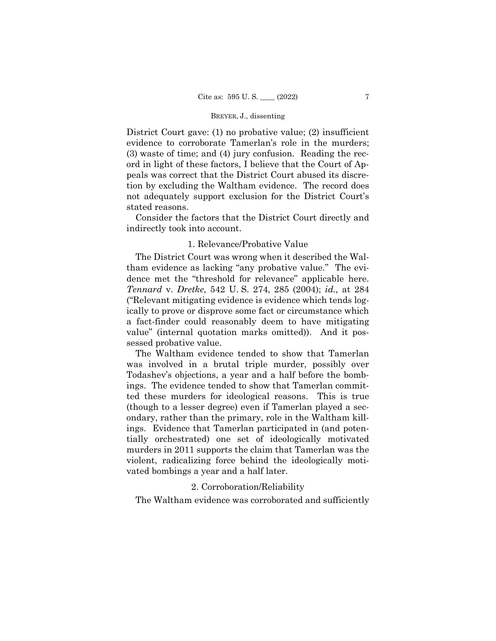District Court gave: (1) no probative value; (2) insufficient evidence to corroborate Tamerlan's role in the murders; (3) waste of time; and (4) jury confusion. Reading the record in light of these factors, I believe that the Court of Appeals was correct that the District Court abused its discretion by excluding the Waltham evidence. The record does not adequately support exclusion for the District Court's stated reasons.

Consider the factors that the District Court directly and indirectly took into account.

### 1. Relevance/Probative Value

The District Court was wrong when it described the Waltham evidence as lacking "any probative value." The evidence met the "threshold for relevance" applicable here. *Tennard* v. *Dretke*, 542 U. S. 274, 285 (2004); *id.,* at 284 ("Relevant mitigating evidence is evidence which tends logically to prove or disprove some fact or circumstance which a fact-finder could reasonably deem to have mitigating value" (internal quotation marks omitted)). And it possessed probative value.

The Waltham evidence tended to show that Tamerlan was involved in a brutal triple murder, possibly over Todashev's objections, a year and a half before the bombings. The evidence tended to show that Tamerlan committed these murders for ideological reasons. This is true (though to a lesser degree) even if Tamerlan played a secondary, rather than the primary, role in the Waltham killings. Evidence that Tamerlan participated in (and potentially orchestrated) one set of ideologically motivated murders in 2011 supports the claim that Tamerlan was the violent, radicalizing force behind the ideologically motivated bombings a year and a half later.

### 2. Corroboration/Reliability

The Waltham evidence was corroborated and sufficiently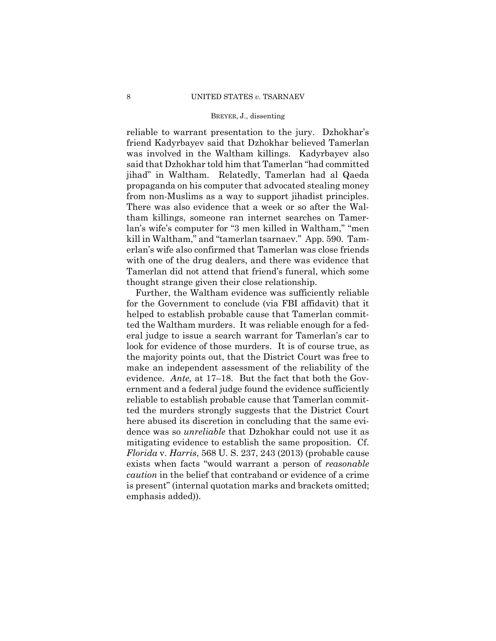reliable to warrant presentation to the jury. Dzhokhar's friend Kadyrbayev said that Dzhokhar believed Tamerlan was involved in the Waltham killings. Kadyrbayev also said that Dzhokhar told him that Tamerlan "had committed jihad" in Waltham. Relatedly, Tamerlan had al Qaeda propaganda on his computer that advocated stealing money from non-Muslims as a way to support jihadist principles. There was also evidence that a week or so after the Waltham killings, someone ran internet searches on Tamerlan's wife's computer for "3 men killed in Waltham," "men kill in Waltham," and "tamerlan tsarnaev." App. 590. Tamerlan's wife also confirmed that Tamerlan was close friends with one of the drug dealers, and there was evidence that Tamerlan did not attend that friend's funeral, which some thought strange given their close relationship.

Further, the Waltham evidence was sufficiently reliable for the Government to conclude (via FBI affidavit) that it helped to establish probable cause that Tamerlan committed the Waltham murders. It was reliable enough for a federal judge to issue a search warrant for Tamerlan's car to look for evidence of those murders. It is of course true, as the majority points out, that the District Court was free to make an independent assessment of the reliability of the evidence. *Ante,* at 17–18. But the fact that both the Government and a federal judge found the evidence sufficiently reliable to establish probable cause that Tamerlan committed the murders strongly suggests that the District Court here abused its discretion in concluding that the same evidence was so *unreliable* that Dzhokhar could not use it as mitigating evidence to establish the same proposition. Cf. *Florida* v. *Harris*, 568 U. S. 237, 243 (2013) (probable cause exists when facts "would warrant a person of *reasonable caution* in the belief that contraband or evidence of a crime is present" (internal quotation marks and brackets omitted; emphasis added)).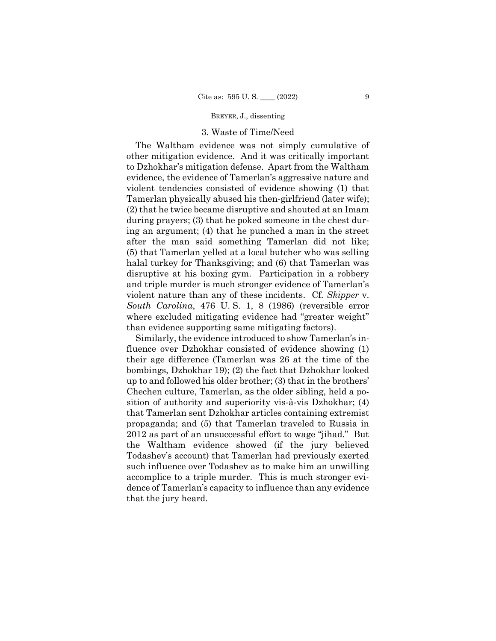### 3. Waste of Time/Need

The Waltham evidence was not simply cumulative of other mitigation evidence. And it was critically important to Dzhokhar's mitigation defense. Apart from the Waltham evidence, the evidence of Tamerlan's aggressive nature and violent tendencies consisted of evidence showing (1) that Tamerlan physically abused his then-girlfriend (later wife); (2) that he twice became disruptive and shouted at an Imam during prayers; (3) that he poked someone in the chest during an argument; (4) that he punched a man in the street after the man said something Tamerlan did not like; (5) that Tamerlan yelled at a local butcher who was selling halal turkey for Thanksgiving; and (6) that Tamerlan was disruptive at his boxing gym. Participation in a robbery and triple murder is much stronger evidence of Tamerlan's violent nature than any of these incidents. Cf. *Skipper* v. *South Carolina*, 476 U. S. 1, 8 (1986) (reversible error where excluded mitigating evidence had "greater weight" than evidence supporting same mitigating factors).

Similarly, the evidence introduced to show Tamerlan's influence over Dzhokhar consisted of evidence showing (1) their age difference (Tamerlan was 26 at the time of the bombings, Dzhokhar 19); (2) the fact that Dzhokhar looked up to and followed his older brother; (3) that in the brothers' Chechen culture, Tamerlan, as the older sibling, held a position of authority and superiority vis-à-vis Dzhokhar; (4) that Tamerlan sent Dzhokhar articles containing extremist propaganda; and (5) that Tamerlan traveled to Russia in 2012 as part of an unsuccessful effort to wage "jihad." But the Waltham evidence showed (if the jury believed Todashev's account) that Tamerlan had previously exerted such influence over Todashev as to make him an unwilling accomplice to a triple murder. This is much stronger evidence of Tamerlan's capacity to influence than any evidence that the jury heard.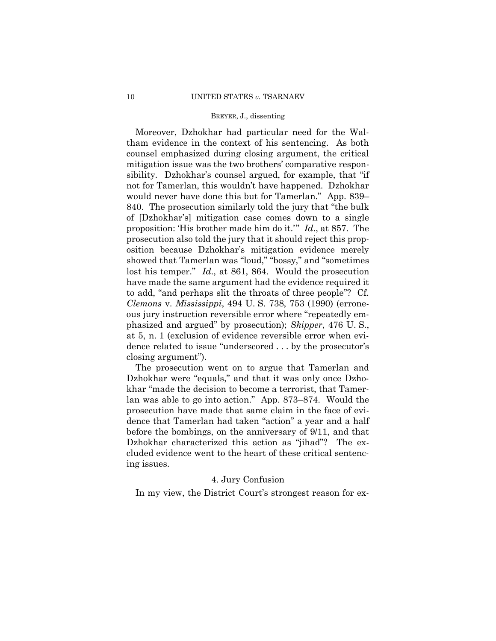Moreover, Dzhokhar had particular need for the Waltham evidence in the context of his sentencing. As both counsel emphasized during closing argument, the critical mitigation issue was the two brothers' comparative responsibility. Dzhokhar's counsel argued, for example, that "if not for Tamerlan, this wouldn't have happened. Dzhokhar would never have done this but for Tamerlan." App. 839– 840. The prosecution similarly told the jury that "the bulk of [Dzhokhar's] mitigation case comes down to a single proposition: 'His brother made him do it.'" *Id*., at 857. The prosecution also told the jury that it should reject this proposition because Dzhokhar's mitigation evidence merely showed that Tamerlan was "loud," "bossy," and "sometimes lost his temper." *Id*., at 861, 864. Would the prosecution have made the same argument had the evidence required it to add, "and perhaps slit the throats of three people"? Cf. *Clemons* v. *Mississippi*, 494 U. S. 738, 753 (1990) (erroneous jury instruction reversible error where "repeatedly emphasized and argued" by prosecution); *Skipper*, 476 U. S., at 5, n. 1 (exclusion of evidence reversible error when evidence related to issue "underscored . . . by the prosecutor's closing argument").

The prosecution went on to argue that Tamerlan and Dzhokhar were "equals," and that it was only once Dzhokhar "made the decision to become a terrorist, that Tamerlan was able to go into action." App. 873–874. Would the prosecution have made that same claim in the face of evidence that Tamerlan had taken "action" a year and a half before the bombings, on the anniversary of 9/11, and that Dzhokhar characterized this action as "jihad"? The excluded evidence went to the heart of these critical sentencing issues.

### 4. Jury Confusion

In my view, the District Court's strongest reason for ex-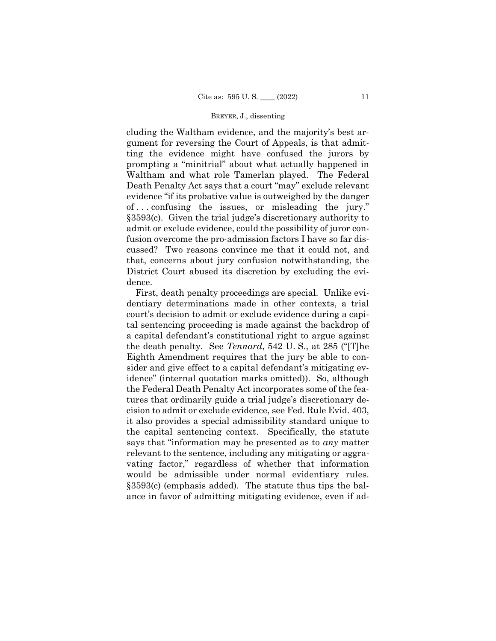cluding the Waltham evidence, and the majority's best argument for reversing the Court of Appeals, is that admitting the evidence might have confused the jurors by prompting a "minitrial" about what actually happened in Waltham and what role Tamerlan played. The Federal Death Penalty Act says that a court "may" exclude relevant evidence "if its probative value is outweighed by the danger of . . . confusing the issues, or misleading the jury." §3593(c). Given the trial judge's discretionary authority to admit or exclude evidence, could the possibility of juror confusion overcome the pro-admission factors I have so far discussed? Two reasons convince me that it could not, and that, concerns about jury confusion notwithstanding, the District Court abused its discretion by excluding the evidence.

First, death penalty proceedings are special. Unlike evidentiary determinations made in other contexts, a trial court's decision to admit or exclude evidence during a capital sentencing proceeding is made against the backdrop of a capital defendant's constitutional right to argue against the death penalty. See *Tennard*, 542 U. S., at 285 ("[T]he Eighth Amendment requires that the jury be able to consider and give effect to a capital defendant's mitigating evidence" (internal quotation marks omitted)). So, although the Federal Death Penalty Act incorporates some of the features that ordinarily guide a trial judge's discretionary decision to admit or exclude evidence, see Fed. Rule Evid. 403, it also provides a special admissibility standard unique to the capital sentencing context. Specifically, the statute says that "information may be presented as to *any* matter relevant to the sentence, including any mitigating or aggravating factor," regardless of whether that information would be admissible under normal evidentiary rules. §3593(c) (emphasis added). The statute thus tips the balance in favor of admitting mitigating evidence, even if ad-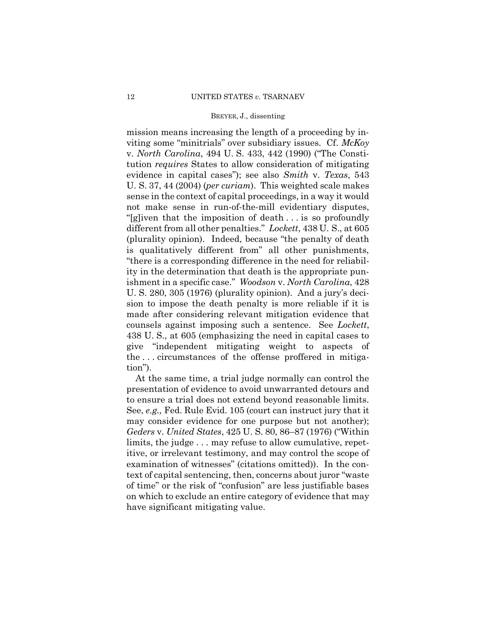mission means increasing the length of a proceeding by inviting some "minitrials" over subsidiary issues. Cf. *McKoy* v. *North Carolina*, 494 U. S. 433, 442 (1990) ("The Constitution *requires* States to allow consideration of mitigating evidence in capital cases"); see also *Smith* v. *Texas*, 543 U. S. 37, 44 (2004) (*per curiam*). This weighted scale makes sense in the context of capital proceedings, in a way it would not make sense in run-of-the-mill evidentiary disputes, "[g]iven that the imposition of death . . . is so profoundly different from all other penalties." *Lockett*, 438 U. S., at 605 (plurality opinion). Indeed, because "the penalty of death is qualitatively different from" all other punishments, "there is a corresponding difference in the need for reliability in the determination that death is the appropriate punishment in a specific case." *Woodson* v. *North Carolina*, 428 U. S. 280, 305 (1976) (plurality opinion). And a jury's decision to impose the death penalty is more reliable if it is made after considering relevant mitigation evidence that counsels against imposing such a sentence. See *Lockett*, 438 U. S., at 605 (emphasizing the need in capital cases to give "independent mitigating weight to aspects of the . . . circumstances of the offense proffered in mitigation").

At the same time, a trial judge normally can control the presentation of evidence to avoid unwarranted detours and to ensure a trial does not extend beyond reasonable limits. See, *e.g.,* Fed. Rule Evid. 105 (court can instruct jury that it may consider evidence for one purpose but not another); *Geders* v. *United States*, 425 U. S. 80, 86–87 (1976) ("Within limits, the judge . . . may refuse to allow cumulative, repetitive, or irrelevant testimony, and may control the scope of examination of witnesses" (citations omitted)). In the context of capital sentencing, then, concerns about juror "waste of time" or the risk of "confusion" are less justifiable bases on which to exclude an entire category of evidence that may have significant mitigating value.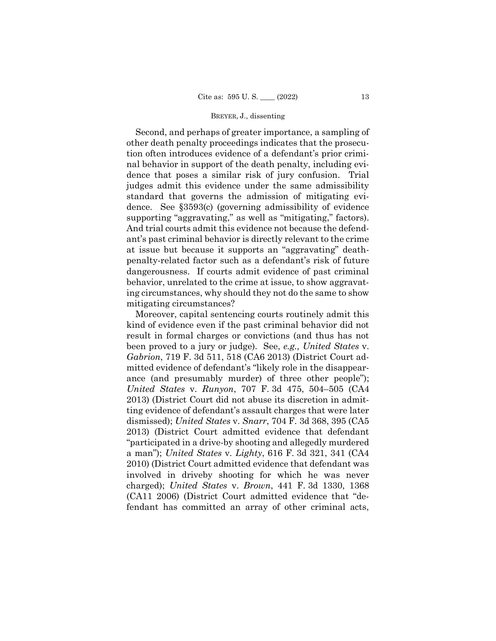Second, and perhaps of greater importance, a sampling of other death penalty proceedings indicates that the prosecution often introduces evidence of a defendant's prior criminal behavior in support of the death penalty, including evidence that poses a similar risk of jury confusion. Trial judges admit this evidence under the same admissibility standard that governs the admission of mitigating evidence. See §3593(c) (governing admissibility of evidence supporting "aggravating," as well as "mitigating," factors). And trial courts admit this evidence not because the defendant's past criminal behavior is directly relevant to the crime at issue but because it supports an "aggravating" deathpenalty-related factor such as a defendant's risk of future dangerousness. If courts admit evidence of past criminal behavior, unrelated to the crime at issue, to show aggravating circumstances, why should they not do the same to show mitigating circumstances?

Moreover, capital sentencing courts routinely admit this kind of evidence even if the past criminal behavior did not result in formal charges or convictions (and thus has not been proved to a jury or judge). See, *e.g., United States* v. *Gabrion*, 719 F. 3d 511, 518 (CA6 2013) (District Court admitted evidence of defendant's "likely role in the disappearance (and presumably murder) of three other people"); *United States* v. *Runyon*, 707 F. 3d 475, 504–505 (CA4 2013) (District Court did not abuse its discretion in admitting evidence of defendant's assault charges that were later dismissed); *United States* v. *Snarr*, 704 F. 3d 368, 395 (CA5 2013) (District Court admitted evidence that defendant "participated in a drive-by shooting and allegedly murdered a man"); *United States* v. *Lighty*, 616 F. 3d 321, 341 (CA4 2010) (District Court admitted evidence that defendant was involved in driveby shooting for which he was never charged); *United States* v. *Brown*, 441 F. 3d 1330, 1368 (CA11 2006) (District Court admitted evidence that "defendant has committed an array of other criminal acts,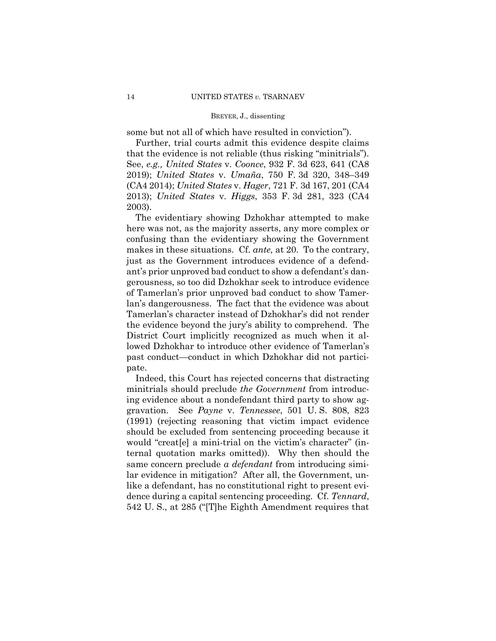some but not all of which have resulted in conviction").

Further, trial courts admit this evidence despite claims that the evidence is not reliable (thus risking "minitrials"). See, *e.g., United States* v. *Coonce*, 932 F. 3d 623, 641 (CA8 2019); *United States* v. *Umaña*, 750 F. 3d 320, 348–349 (CA4 2014); *United States* v. *Hager*, 721 F. 3d 167, 201 (CA4 2013); *United States* v. *Higgs*, 353 F. 3d 281, 323 (CA4 2003).

The evidentiary showing Dzhokhar attempted to make here was not, as the majority asserts, any more complex or confusing than the evidentiary showing the Government makes in these situations. Cf. *ante*, at 20. To the contrary, just as the Government introduces evidence of a defendant's prior unproved bad conduct to show a defendant's dangerousness, so too did Dzhokhar seek to introduce evidence of Tamerlan's prior unproved bad conduct to show Tamerlan's dangerousness. The fact that the evidence was about Tamerlan's character instead of Dzhokhar's did not render the evidence beyond the jury's ability to comprehend. The District Court implicitly recognized as much when it allowed Dzhokhar to introduce other evidence of Tamerlan's past conduct—conduct in which Dzhokhar did not participate.

Indeed, this Court has rejected concerns that distracting minitrials should preclude *the Government* from introducing evidence about a nondefendant third party to show aggravation. See *Payne* v. *Tennessee*, 501 U. S. 808, 823 (1991) (rejecting reasoning that victim impact evidence should be excluded from sentencing proceeding because it would "creat[e] a mini-trial on the victim's character" (internal quotation marks omitted)). Why then should the same concern preclude *a defendant* from introducing similar evidence in mitigation? After all, the Government, unlike a defendant, has no constitutional right to present evidence during a capital sentencing proceeding. Cf. *Tennard*, 542 U. S., at 285 ("[T]he Eighth Amendment requires that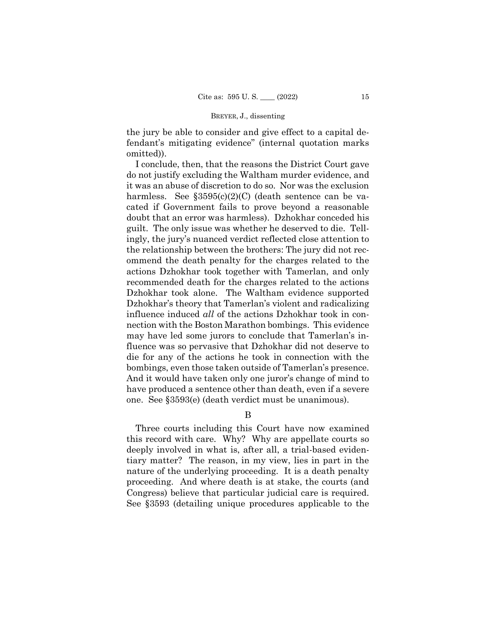the jury be able to consider and give effect to a capital defendant's mitigating evidence" (internal quotation marks omitted)).

I conclude, then, that the reasons the District Court gave do not justify excluding the Waltham murder evidence, and it was an abuse of discretion to do so. Nor was the exclusion harmless. See §3595(c)(2)(C) (death sentence can be vacated if Government fails to prove beyond a reasonable doubt that an error was harmless). Dzhokhar conceded his guilt. The only issue was whether he deserved to die. Tellingly, the jury's nuanced verdict reflected close attention to the relationship between the brothers: The jury did not recommend the death penalty for the charges related to the actions Dzhokhar took together with Tamerlan, and only recommended death for the charges related to the actions Dzhokhar took alone. The Waltham evidence supported Dzhokhar's theory that Tamerlan's violent and radicalizing influence induced *all* of the actions Dzhokhar took in connection with the Boston Marathon bombings. This evidence may have led some jurors to conclude that Tamerlan's influence was so pervasive that Dzhokhar did not deserve to die for any of the actions he took in connection with the bombings, even those taken outside of Tamerlan's presence. And it would have taken only one juror's change of mind to have produced a sentence other than death, even if a severe one. See §3593(e) (death verdict must be unanimous).

B

Three courts including this Court have now examined this record with care. Why? Why are appellate courts so deeply involved in what is, after all, a trial-based evidentiary matter? The reason, in my view, lies in part in the nature of the underlying proceeding. It is a death penalty proceeding. And where death is at stake, the courts (and Congress) believe that particular judicial care is required. See §3593 (detailing unique procedures applicable to the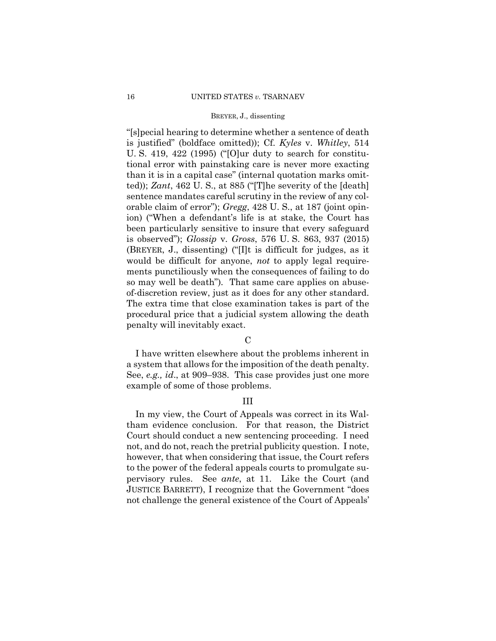"[s]pecial hearing to determine whether a sentence of death is justified" (boldface omitted)); Cf. *Kyles* v. *Whitley*, 514 U. S. 419, 422 (1995) ("[O]ur duty to search for constitutional error with painstaking care is never more exacting than it is in a capital case" (internal quotation marks omitted)); *Zant*, 462 U. S., at 885 ("[T]he severity of the [death] sentence mandates careful scrutiny in the review of any colorable claim of error"); *Gregg*, 428 U. S., at 187 (joint opinion) ("When a defendant's life is at stake, the Court has been particularly sensitive to insure that every safeguard is observed"); *Glossip* v. *Gross*, 576 U. S. 863, 937 (2015) (BREYER, J., dissenting) ("[I]t is difficult for judges, as it would be difficult for anyone, *not* to apply legal requirements punctiliously when the consequences of failing to do so may well be death")*.* That same care applies on abuseof-discretion review, just as it does for any other standard. The extra time that close examination takes is part of the procedural price that a judicial system allowing the death penalty will inevitably exact.

### $\mathcal{C}$

I have written elsewhere about the problems inherent in a system that allows for the imposition of the death penalty. See, *e.g., id*., at 909–938. This case provides just one more example of some of those problems.

### III

In my view, the Court of Appeals was correct in its Waltham evidence conclusion. For that reason, the District Court should conduct a new sentencing proceeding. I need not, and do not, reach the pretrial publicity question. I note, however, that when considering that issue, the Court refers to the power of the federal appeals courts to promulgate supervisory rules. See *ante*, at 11. Like the Court (and JUSTICE BARRETT), I recognize that the Government "does not challenge the general existence of the Court of Appeals'